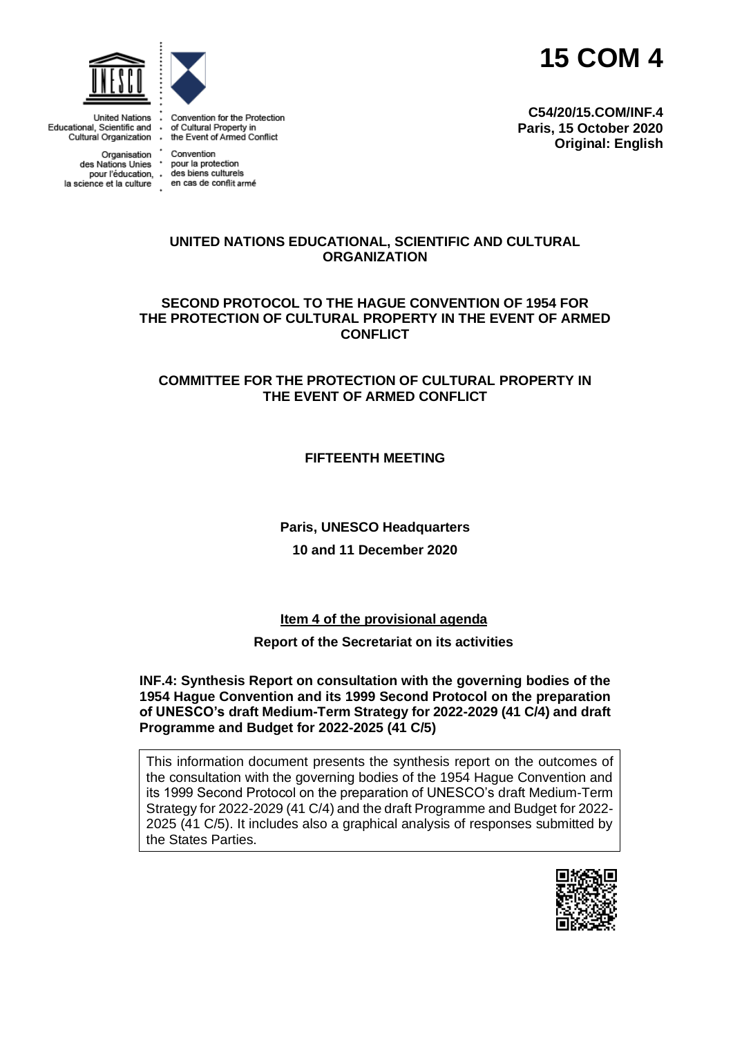



**United Nations** Educational, Scientific and Cultural Property in<br>Cultural Organization - the Event of Armed Conflict

Organisation Convention<br>des Nations Unies \* pour la protection la science et la culture en cas de conflit armé



Convention for the Protection

pour l'éducation, des biens culturels

**C54/20/15.COM/INF.4 Paris, 15 October 2020 Original: English**

#### **UNITED NATIONS EDUCATIONAL, SCIENTIFIC AND CULTURAL ORGANIZATION**

**SECOND PROTOCOL TO THE HAGUE CONVENTION OF 1954 FOR THE PROTECTION OF CULTURAL PROPERTY IN THE EVENT OF ARMED CONFLICT**

#### **COMMITTEE FOR THE PROTECTION OF CULTURAL PROPERTY IN THE EVENT OF ARMED CONFLICT**

**FIFTEENTH MEETING**

**Paris, UNESCO Headquarters 10 and 11 December 2020**

**Item 4 of the provisional agenda**

#### **Report of the Secretariat on its activities**

**INF.4: Synthesis Report on consultation with the governing bodies of the 1954 Hague Convention and its 1999 Second Protocol on the preparation of UNESCO's draft Medium-Term Strategy for 2022-2029 (41 C/4) and draft Programme and Budget for 2022-2025 (41 C/5)**

This information document presents the synthesis report on the outcomes of the consultation with the governing bodies of the 1954 Hague Convention and its 1999 Second Protocol on the preparation of UNESCO's draft Medium-Term Strategy for 2022-2029 (41 C/4) and the draft Programme and Budget for 2022- 2025 (41 C/5). It includes also a graphical analysis of responses submitted by the States Parties.

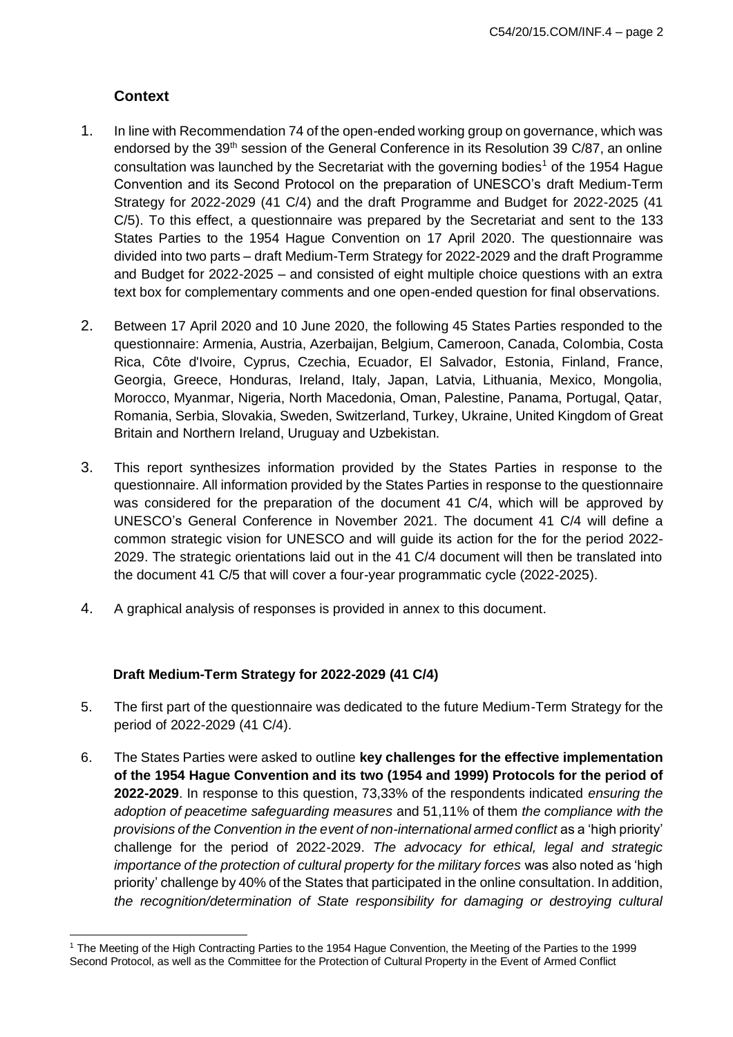# **Context**

- 1. In line with Recommendation 74 of the open-ended working group on governance, which was endorsed by the 39<sup>th</sup> session of the General Conference in its Resolution 39 C/87, an online consultation was launched by the Secretariat with the governing bodies<sup>1</sup> of the 1954 Hague Convention and its Second Protocol on the preparation of UNESCO's draft Medium-Term Strategy for 2022-2029 (41 C/4) and the draft Programme and Budget for 2022-2025 (41 C/5). To this effect, a questionnaire was prepared by the Secretariat and sent to the 133 States Parties to the 1954 Hague Convention on 17 April 2020. The questionnaire was divided into two parts – draft Medium-Term Strategy for 2022-2029 and the draft Programme and Budget for 2022-2025 – and consisted of eight multiple choice questions with an extra text box for complementary comments and one open-ended question for final observations.
- 2. Between 17 April 2020 and 10 June 2020, the following 45 States Parties responded to the questionnaire: Armenia, Austria, Azerbaijan, Belgium, Cameroon, Canada, Colombia, Costa Rica, Côte d'Ivoire, Cyprus, Czechia, Ecuador, El Salvador, Estonia, Finland, France, Georgia, Greece, Honduras, Ireland, Italy, Japan, Latvia, Lithuania, Mexico, Mongolia, Morocco, Myanmar, Nigeria, North Macedonia, Oman, Palestine, Panama, Portugal, Qatar, Romania, Serbia, Slovakia, Sweden, Switzerland, Turkey, Ukraine, United Kingdom of Great Britain and Northern Ireland, Uruguay and Uzbekistan.
- 3. This report synthesizes information provided by the States Parties in response to the questionnaire. All information provided by the States Parties in response to the questionnaire was considered for the preparation of the document 41 C/4, which will be approved by UNESCO's General Conference in November 2021. The document 41 C/4 will define a common strategic vision for UNESCO and will guide its action for the for the period 2022- 2029. The strategic orientations laid out in the 41 C/4 document will then be translated into the document 41 C/5 that will cover a four-year programmatic cycle (2022-2025).
- 4. A graphical analysis of responses is provided in annex to this document.

# **Draft Medium-Term Strategy for 2022-2029 (41 C/4)**

- 5. The first part of the questionnaire was dedicated to the future Medium-Term Strategy for the period of 2022-2029 (41 C/4).
- 6. The States Parties were asked to outline **key challenges for the effective implementation of the 1954 Hague Convention and its two (1954 and 1999) Protocols for the period of 2022-2029**. In response to this question, 73,33% of the respondents indicated *ensuring the adoption of peacetime safeguarding measures* and 51,11% of them *the compliance with the provisions of the Convention in the event of non-international armed conflict* as a 'high priority' challenge for the period of 2022-2029. *The advocacy for ethical, legal and strategic importance of the protection of cultural property for the military forces* was also noted as 'high priority' challenge by 40% of the States that participated in the online consultation. In addition, *the recognition/determination of State responsibility for damaging or destroying cultural*

<sup>1</sup> The Meeting of the High Contracting Parties to the 1954 Hague Convention, the Meeting of the Parties to the 1999 Second Protocol, as well as the Committee for the Protection of Cultural Property in the Event of Armed Conflict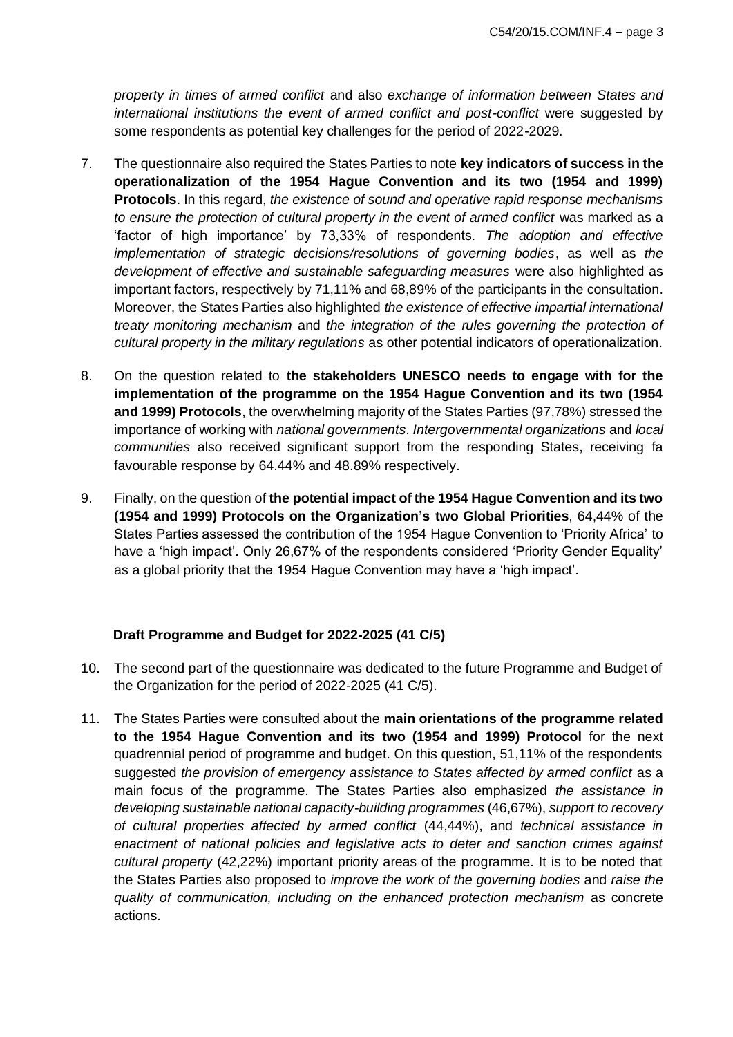*property in times of armed conflict* and also *exchange of information between States and*  international institutions the event of armed conflict and post-conflict were suggested by some respondents as potential key challenges for the period of 2022-2029.

- 7. The questionnaire also required the States Parties to note **key indicators of success in the operationalization of the 1954 Hague Convention and its two (1954 and 1999) Protocols**. In this regard, *the existence of sound and operative rapid response mechanisms to ensure the protection of cultural property in the event of armed conflict* was marked as a 'factor of high importance' by 73,33% of respondents. *The adoption and effective implementation of strategic decisions/resolutions of governing bodies*, as well as *the development of effective and sustainable safeguarding measures* were also highlighted as important factors, respectively by 71,11% and 68,89% of the participants in the consultation. Moreover, the States Parties also highlighted *the existence of effective impartial international treaty monitoring mechanism* and *the integration of the rules governing the protection of cultural property in the military regulations* as other potential indicators of operationalization.
- 8. On the question related to **the stakeholders UNESCO needs to engage with for the implementation of the programme on the 1954 Hague Convention and its two (1954 and 1999) Protocols**, the overwhelming majority of the States Parties (97,78%) stressed the importance of working with *national governments*. *Intergovernmental organizations* and *local communities* also received significant support from the responding States, receiving fa favourable response by 64.44% and 48.89% respectively.
- 9. Finally, on the question of **the potential impact of the 1954 Hague Convention and its two (1954 and 1999) Protocols on the Organization's two Global Priorities**, 64,44% of the States Parties assessed the contribution of the 1954 Hague Convention to 'Priority Africa' to have a 'high impact'. Only 26,67% of the respondents considered 'Priority Gender Equality' as a global priority that the 1954 Hague Convention may have a 'high impact'.

# **Draft Programme and Budget for 2022-2025 (41 C/5)**

- 10. The second part of the questionnaire was dedicated to the future Programme and Budget of the Organization for the period of 2022-2025 (41 C/5).
- 11. The States Parties were consulted about the **main orientations of the programme related to the 1954 Hague Convention and its two (1954 and 1999) Protocol** for the next quadrennial period of programme and budget. On this question, 51,11% of the respondents suggested *the provision of emergency assistance to States affected by armed conflict* as a main focus of the programme. The States Parties also emphasized *the assistance in developing sustainable national capacity-building programmes* (46,67%), *support to recovery of cultural properties affected by armed conflict* (44,44%), and *technical assistance in enactment of national policies and legislative acts to deter and sanction crimes against cultural property* (42,22%) important priority areas of the programme. It is to be noted that the States Parties also proposed to *improve the work of the governing bodies* and *raise the quality of communication, including on the enhanced protection mechanism* as concrete actions.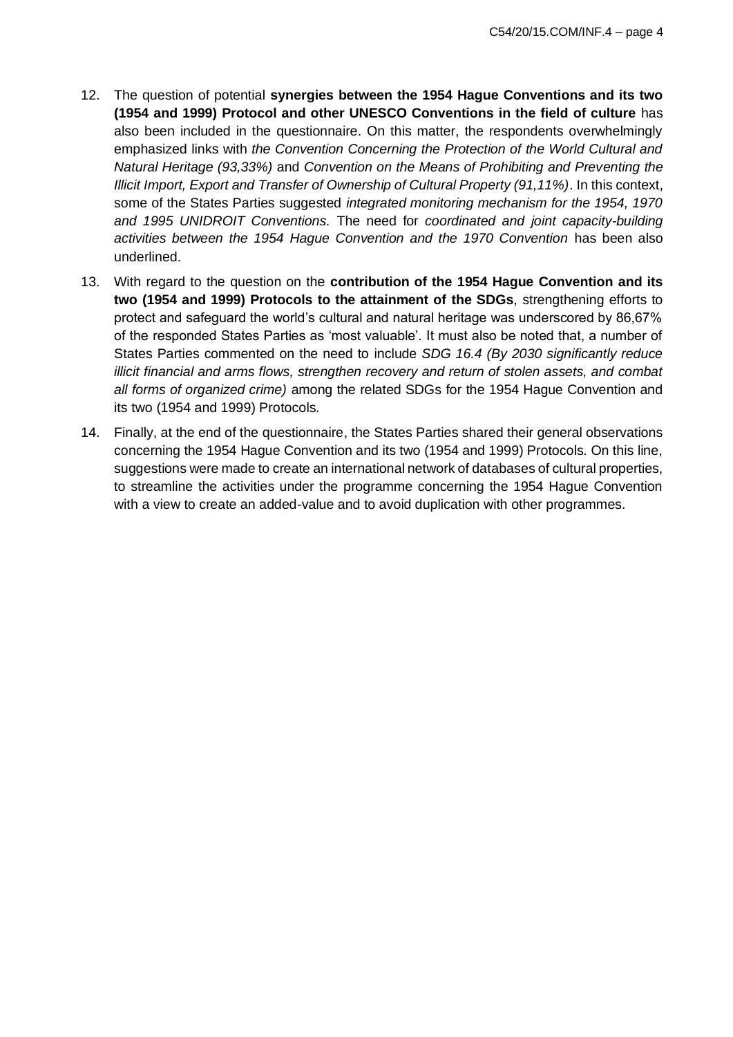- 12. The question of potential **synergies between the 1954 Hague Conventions and its two (1954 and 1999) Protocol and other UNESCO Conventions in the field of culture** has also been included in the questionnaire. On this matter, the respondents overwhelmingly emphasized links with *the Convention Concerning the Protection of the World Cultural and Natural Heritage (93,33%)* and *Convention on the Means of Prohibiting and Preventing the Illicit Import, Export and Transfer of Ownership of Cultural Property (91,11%)*. In this context, some of the States Parties suggested *integrated monitoring mechanism for the 1954, 1970 and 1995 UNIDROIT Conventions.* The need for *coordinated and joint capacity-building activities between the 1954 Hague Convention and the 1970 Convention* has been also underlined.
- 13. With regard to the question on the **contribution of the 1954 Hague Convention and its two (1954 and 1999) Protocols to the attainment of the SDGs**, strengthening efforts to protect and safeguard the world's cultural and natural heritage was underscored by 86,67% of the responded States Parties as 'most valuable'. It must also be noted that, a number of States Parties commented on the need to include *SDG 16.4 (By 2030 significantly reduce illicit financial and arms flows, strengthen recovery and return of stolen assets, and combat all forms of organized crime)* among the related SDGs for the 1954 Hague Convention and its two (1954 and 1999) Protocols.
- 14. Finally, at the end of the questionnaire, the States Parties shared their general observations concerning the 1954 Hague Convention and its two (1954 and 1999) Protocols. On this line, suggestions were made to create an international network of databases of cultural properties, to streamline the activities under the programme concerning the 1954 Hague Convention with a view to create an added-value and to avoid duplication with other programmes.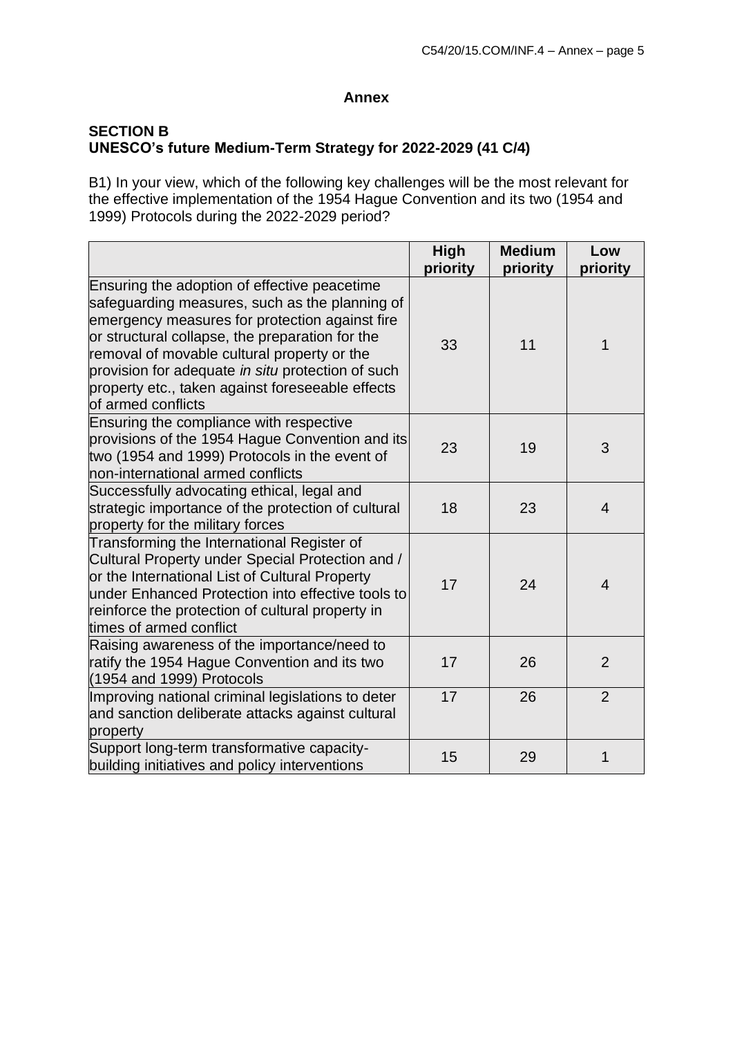#### **Annex**

# **SECTION B UNESCO's future Medium-Term Strategy for 2022-2029 (41 C/4)**

B1) In your view, which of the following key challenges will be the most relevant for the effective implementation of the 1954 Hague Convention and its two (1954 and 1999) Protocols during the 2022-2029 period?

|                                                                                                                                                                                                                                                                                                                                                                                   | High<br>priority | <b>Medium</b><br>priority | Low<br>priority |
|-----------------------------------------------------------------------------------------------------------------------------------------------------------------------------------------------------------------------------------------------------------------------------------------------------------------------------------------------------------------------------------|------------------|---------------------------|-----------------|
| Ensuring the adoption of effective peacetime<br>safeguarding measures, such as the planning of<br>emergency measures for protection against fire<br>or structural collapse, the preparation for the<br>removal of movable cultural property or the<br>provision for adequate in situ protection of such<br>property etc., taken against foreseeable effects<br>of armed conflicts | 33               | 11                        | 1               |
| Ensuring the compliance with respective<br>provisions of the 1954 Hague Convention and its<br>two (1954 and 1999) Protocols in the event of<br>non-international armed conflicts                                                                                                                                                                                                  | 23               | 19                        | 3               |
| Successfully advocating ethical, legal and<br>strategic importance of the protection of cultural<br>property for the military forces                                                                                                                                                                                                                                              | 18               | 23                        | $\overline{4}$  |
| Transforming the International Register of<br>Cultural Property under Special Protection and /<br>or the International List of Cultural Property<br>under Enhanced Protection into effective tools to<br>reinforce the protection of cultural property in<br>times of armed conflict                                                                                              | 17               | 24                        | $\overline{4}$  |
| Raising awareness of the importance/need to<br>ratify the 1954 Hague Convention and its two<br>$(1954$ and 1999) Protocols                                                                                                                                                                                                                                                        | 17               | 26                        | $\overline{2}$  |
| Improving national criminal legislations to deter<br>and sanction deliberate attacks against cultural<br>property                                                                                                                                                                                                                                                                 | 17               | 26                        | $\overline{2}$  |
| Support long-term transformative capacity-<br>building initiatives and policy interventions                                                                                                                                                                                                                                                                                       | 15               | 29                        | 1               |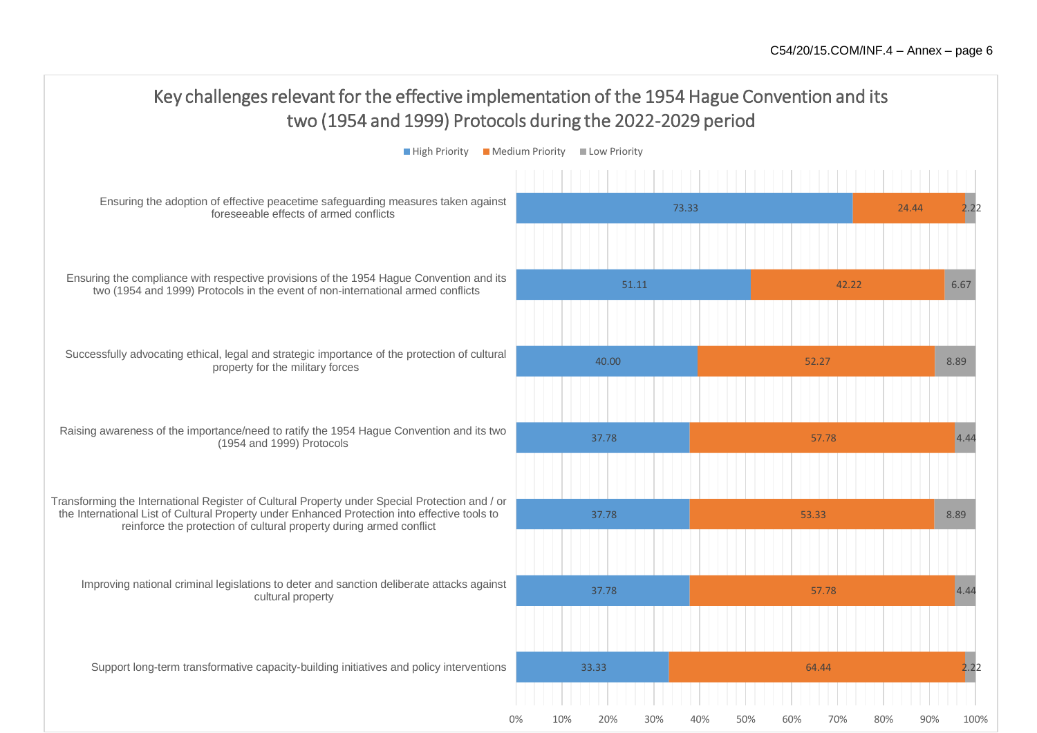0% 10% 20% 30% 40% 50% 60% 70% 80% 90% 100%

#### 33.33 37.78 37.78 37.78 40.00 51.11 73.33 64.44 57.78 53.33 57.78 52.27 42.22 24.44 2.22 4.44 8.89 4.44 8.89 6.67 2.22 Support long-term transformative capacity-building initiatives and policy interventions Improving national criminal legislations to deter and sanction deliberate attacks against cultural property Transforming the International Register of Cultural Property under Special Protection and / or the International List of Cultural Property under Enhanced Protection into effective tools to reinforce the protection of cultural property during armed conflict Raising awareness of the importance/need to ratify the 1954 Hague Convention and its two (1954 and 1999) Protocols Successfully advocating ethical, legal and strategic importance of the protection of cultural property for the military forces Ensuring the compliance with respective provisions of the 1954 Hague Convention and its two (1954 and 1999) Protocols in the event of non-international armed conflicts Ensuring the adoption of effective peacetime safeguarding measures taken against foreseeable effects of armed conflicts Key challenges relevant for the effective implementation of the 1954 Hague Convention and its two (1954 and 1999) Protocols during the 2022-2029 period  $\blacksquare$  High Priority  $\blacksquare$  Medium Priority  $\blacksquare$  Low Priority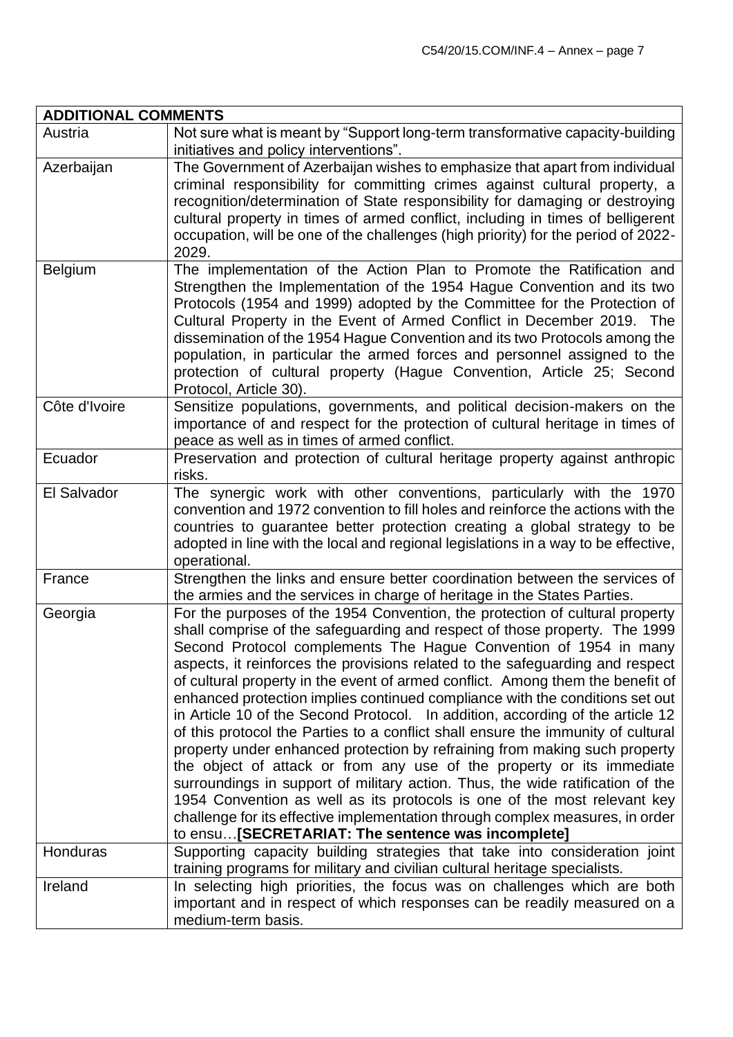| <b>ADDITIONAL COMMENTS</b> |                                                                                                                                                                                                                                                                                                                                                                                                                                                                                                                                                                                                                                                                                                                                                                                                                                                                                                                                                                                                                                                                                                                    |
|----------------------------|--------------------------------------------------------------------------------------------------------------------------------------------------------------------------------------------------------------------------------------------------------------------------------------------------------------------------------------------------------------------------------------------------------------------------------------------------------------------------------------------------------------------------------------------------------------------------------------------------------------------------------------------------------------------------------------------------------------------------------------------------------------------------------------------------------------------------------------------------------------------------------------------------------------------------------------------------------------------------------------------------------------------------------------------------------------------------------------------------------------------|
| Austria                    | Not sure what is meant by "Support long-term transformative capacity-building                                                                                                                                                                                                                                                                                                                                                                                                                                                                                                                                                                                                                                                                                                                                                                                                                                                                                                                                                                                                                                      |
|                            | initiatives and policy interventions".                                                                                                                                                                                                                                                                                                                                                                                                                                                                                                                                                                                                                                                                                                                                                                                                                                                                                                                                                                                                                                                                             |
| Azerbaijan                 | The Government of Azerbaijan wishes to emphasize that apart from individual<br>criminal responsibility for committing crimes against cultural property, a<br>recognition/determination of State responsibility for damaging or destroying<br>cultural property in times of armed conflict, including in times of belligerent<br>occupation, will be one of the challenges (high priority) for the period of 2022-<br>2029.                                                                                                                                                                                                                                                                                                                                                                                                                                                                                                                                                                                                                                                                                         |
| <b>Belgium</b>             | The implementation of the Action Plan to Promote the Ratification and<br>Strengthen the Implementation of the 1954 Hague Convention and its two<br>Protocols (1954 and 1999) adopted by the Committee for the Protection of<br>Cultural Property in the Event of Armed Conflict in December 2019. The<br>dissemination of the 1954 Hague Convention and its two Protocols among the<br>population, in particular the armed forces and personnel assigned to the<br>protection of cultural property (Hague Convention, Article 25; Second<br>Protocol, Article 30).                                                                                                                                                                                                                                                                                                                                                                                                                                                                                                                                                 |
| Côte d'Ivoire              | Sensitize populations, governments, and political decision-makers on the<br>importance of and respect for the protection of cultural heritage in times of<br>peace as well as in times of armed conflict.                                                                                                                                                                                                                                                                                                                                                                                                                                                                                                                                                                                                                                                                                                                                                                                                                                                                                                          |
| Ecuador                    | Preservation and protection of cultural heritage property against anthropic<br>risks.                                                                                                                                                                                                                                                                                                                                                                                                                                                                                                                                                                                                                                                                                                                                                                                                                                                                                                                                                                                                                              |
| El Salvador                | The synergic work with other conventions, particularly with the 1970<br>convention and 1972 convention to fill holes and reinforce the actions with the<br>countries to guarantee better protection creating a global strategy to be<br>adopted in line with the local and regional legislations in a way to be effective,<br>operational.                                                                                                                                                                                                                                                                                                                                                                                                                                                                                                                                                                                                                                                                                                                                                                         |
| France                     | Strengthen the links and ensure better coordination between the services of<br>the armies and the services in charge of heritage in the States Parties.                                                                                                                                                                                                                                                                                                                                                                                                                                                                                                                                                                                                                                                                                                                                                                                                                                                                                                                                                            |
| Georgia                    | For the purposes of the 1954 Convention, the protection of cultural property<br>shall comprise of the safeguarding and respect of those property. The 1999<br>Second Protocol complements The Hague Convention of 1954 in many<br>aspects, it reinforces the provisions related to the safeguarding and respect<br>of cultural property in the event of armed conflict. Among them the benefit of<br>enhanced protection implies continued compliance with the conditions set out<br>in Article 10 of the Second Protocol. In addition, according of the article 12<br>of this protocol the Parties to a conflict shall ensure the immunity of cultural<br>property under enhanced protection by refraining from making such property<br>the object of attack or from any use of the property or its immediate<br>surroundings in support of military action. Thus, the wide ratification of the<br>1954 Convention as well as its protocols is one of the most relevant key<br>challenge for its effective implementation through complex measures, in order<br>to ensu[SECRETARIAT: The sentence was incomplete] |
| Honduras                   | Supporting capacity building strategies that take into consideration joint<br>training programs for military and civilian cultural heritage specialists.                                                                                                                                                                                                                                                                                                                                                                                                                                                                                                                                                                                                                                                                                                                                                                                                                                                                                                                                                           |
| Ireland                    | In selecting high priorities, the focus was on challenges which are both<br>important and in respect of which responses can be readily measured on a<br>medium-term basis.                                                                                                                                                                                                                                                                                                                                                                                                                                                                                                                                                                                                                                                                                                                                                                                                                                                                                                                                         |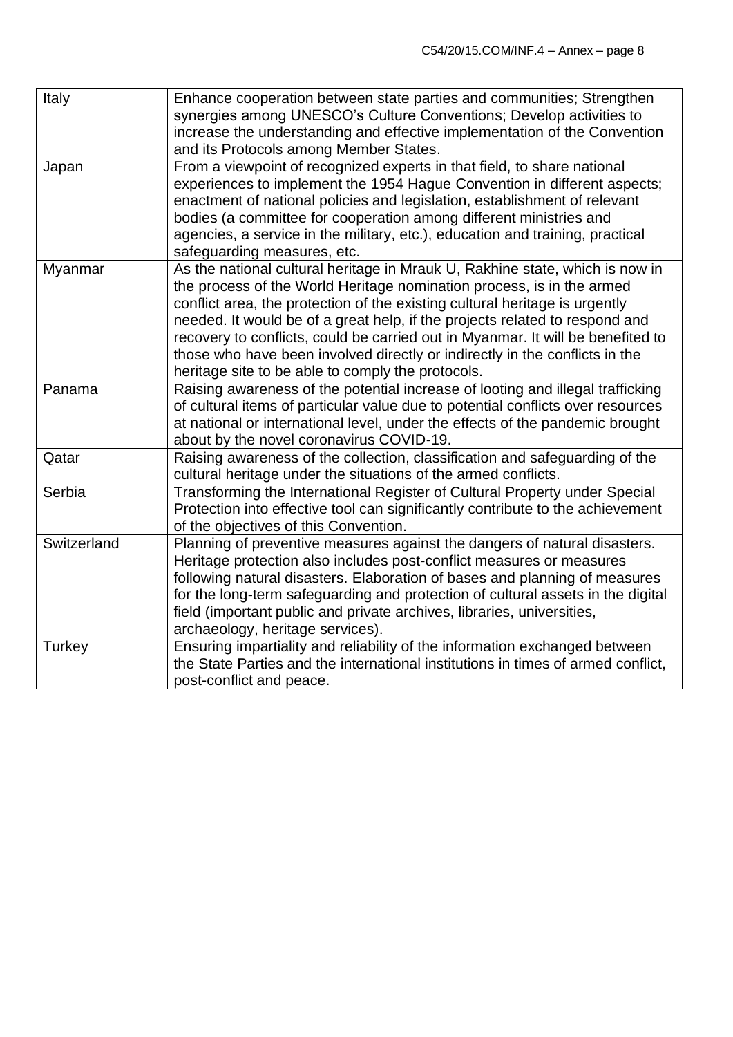| Italy       | Enhance cooperation between state parties and communities; Strengthen<br>synergies among UNESCO's Culture Conventions; Develop activities to<br>increase the understanding and effective implementation of the Convention<br>and its Protocols among Member States.                                                                                                                                                                                                                                                                        |
|-------------|--------------------------------------------------------------------------------------------------------------------------------------------------------------------------------------------------------------------------------------------------------------------------------------------------------------------------------------------------------------------------------------------------------------------------------------------------------------------------------------------------------------------------------------------|
| Japan       | From a viewpoint of recognized experts in that field, to share national<br>experiences to implement the 1954 Hague Convention in different aspects;<br>enactment of national policies and legislation, establishment of relevant<br>bodies (a committee for cooperation among different ministries and<br>agencies, a service in the military, etc.), education and training, practical<br>safeguarding measures, etc.                                                                                                                     |
| Myanmar     | As the national cultural heritage in Mrauk U, Rakhine state, which is now in<br>the process of the World Heritage nomination process, is in the armed<br>conflict area, the protection of the existing cultural heritage is urgently<br>needed. It would be of a great help, if the projects related to respond and<br>recovery to conflicts, could be carried out in Myanmar. It will be benefited to<br>those who have been involved directly or indirectly in the conflicts in the<br>heritage site to be able to comply the protocols. |
| Panama      | Raising awareness of the potential increase of looting and illegal trafficking<br>of cultural items of particular value due to potential conflicts over resources<br>at national or international level, under the effects of the pandemic brought<br>about by the novel coronavirus COVID-19.                                                                                                                                                                                                                                             |
| Qatar       | Raising awareness of the collection, classification and safeguarding of the<br>cultural heritage under the situations of the armed conflicts.                                                                                                                                                                                                                                                                                                                                                                                              |
| Serbia      | Transforming the International Register of Cultural Property under Special<br>Protection into effective tool can significantly contribute to the achievement<br>of the objectives of this Convention.                                                                                                                                                                                                                                                                                                                                      |
| Switzerland | Planning of preventive measures against the dangers of natural disasters.<br>Heritage protection also includes post-conflict measures or measures<br>following natural disasters. Elaboration of bases and planning of measures<br>for the long-term safeguarding and protection of cultural assets in the digital<br>field (important public and private archives, libraries, universities,<br>archaeology, heritage services).                                                                                                           |
| Turkey      | Ensuring impartiality and reliability of the information exchanged between<br>the State Parties and the international institutions in times of armed conflict,<br>post-conflict and peace.                                                                                                                                                                                                                                                                                                                                                 |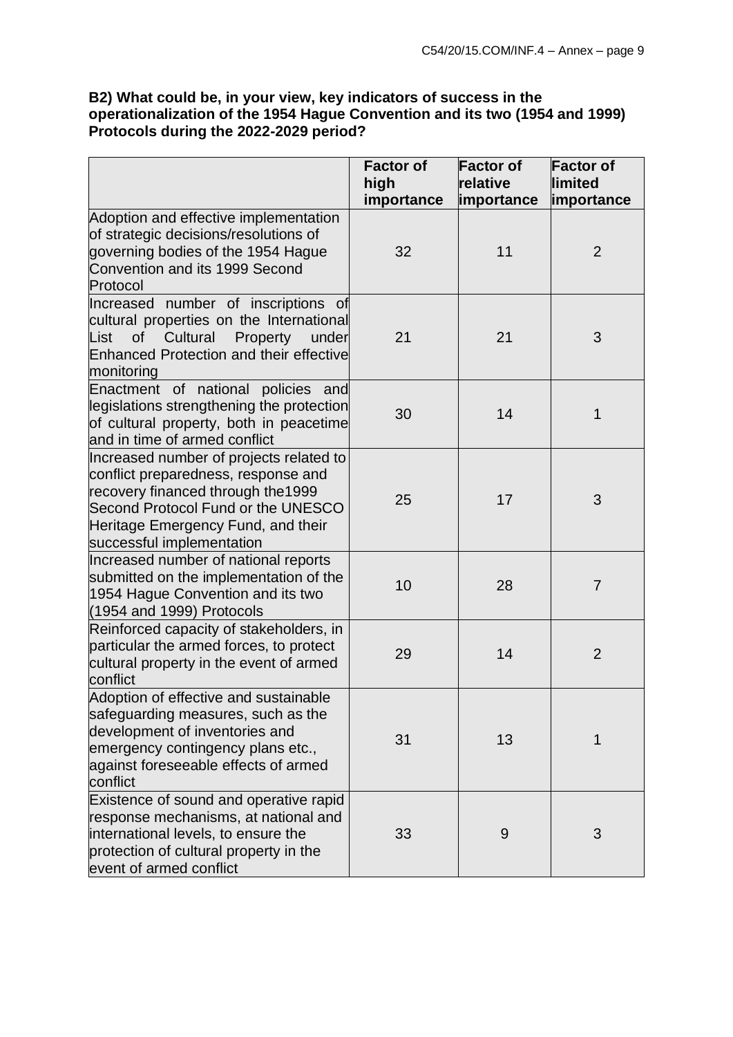## **B2) What could be, in your view, key indicators of success in the operationalization of the 1954 Hague Convention and its two (1954 and 1999) Protocols during the 2022-2029 period?**

|                                                                                                                                                                                                                               | <b>Factor of</b><br>high<br>importance | <b>Factor of</b><br>relative<br><i>importance</i> | <b>Factor of</b><br>limited<br>importance |
|-------------------------------------------------------------------------------------------------------------------------------------------------------------------------------------------------------------------------------|----------------------------------------|---------------------------------------------------|-------------------------------------------|
| Adoption and effective implementation<br>of strategic decisions/resolutions of<br>governing bodies of the 1954 Hague<br>Convention and its 1999 Second<br>Protocol                                                            | 32                                     | 11                                                | $\overline{2}$                            |
| Increased number of inscriptions of<br>cultural properties on the International<br>List<br>Cultural<br>Property<br><b>of</b><br>under<br><b>Enhanced Protection and their effective</b><br>monitoring                         | 21                                     | 21                                                | 3                                         |
| Enactment of national policies and<br>legislations strengthening the protection<br>of cultural property, both in peacetime<br>and in time of armed conflict                                                                   | 30                                     | 14                                                | 1                                         |
| Increased number of projects related to<br>conflict preparedness, response and<br>recovery financed through the 1999<br>Second Protocol Fund or the UNESCO<br>Heritage Emergency Fund, and their<br>successful implementation | 25                                     | 17                                                | 3                                         |
| Increased number of national reports<br>submitted on the implementation of the<br>1954 Hague Convention and its two<br>$(1954$ and 1999) Protocols                                                                            | 10                                     | 28                                                | $\overline{7}$                            |
| Reinforced capacity of stakeholders, in<br>particular the armed forces, to protect<br>cultural property in the event of armed<br>conflict                                                                                     | 29                                     | 14                                                | $\overline{2}$                            |
| Adoption of effective and sustainable<br>safeguarding measures, such as the<br>development of inventories and<br>emergency contingency plans etc.,<br>against foreseeable effects of armed<br>conflict                        | 31                                     | 13                                                | 1                                         |
| Existence of sound and operative rapid<br>response mechanisms, at national and<br>international levels, to ensure the<br>protection of cultural property in the<br>event of armed conflict                                    | 33                                     | 9                                                 | 3                                         |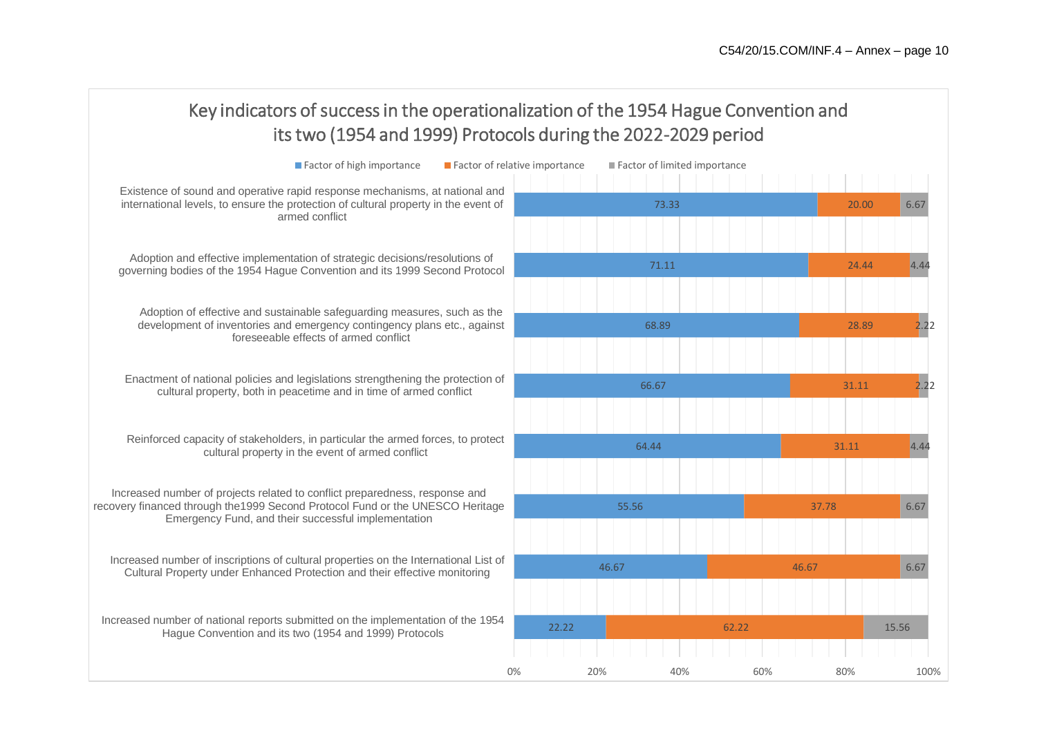| Key indicators of success in the operationalization of the 1954 Hague Convention and<br>its two (1954 and 1999) Protocols during the 2022-2029 period                                                                |                                                               |               |  |  |
|----------------------------------------------------------------------------------------------------------------------------------------------------------------------------------------------------------------------|---------------------------------------------------------------|---------------|--|--|
| Factor of high importance                                                                                                                                                                                            | Factor of relative importance<br>Factor of limited importance |               |  |  |
| Existence of sound and operative rapid response mechanisms, at national and<br>international levels, to ensure the protection of cultural property in the event of<br>armed conflict                                 | 73.33                                                         | 20.00<br>6.67 |  |  |
| Adoption and effective implementation of strategic decisions/resolutions of<br>governing bodies of the 1954 Hague Convention and its 1999 Second Protocol                                                            | 71.11                                                         | 4.44<br>24.44 |  |  |
| Adoption of effective and sustainable safeguarding measures, such as the<br>development of inventories and emergency contingency plans etc., against<br>foreseeable effects of armed conflict                        | 68.89                                                         | 2.22<br>28.89 |  |  |
| Enactment of national policies and legislations strengthening the protection of<br>cultural property, both in peacetime and in time of armed conflict                                                                | 66.67                                                         | 2.22<br>31.11 |  |  |
| Reinforced capacity of stakeholders, in particular the armed forces, to protect<br>cultural property in the event of armed conflict                                                                                  | 64.44                                                         | 4.44<br>31.11 |  |  |
| Increased number of projects related to conflict preparedness, response and<br>recovery financed through the 1999 Second Protocol Fund or the UNESCO Heritage<br>Emergency Fund, and their successful implementation | 55.56                                                         | 37.78<br>6.67 |  |  |
| Increased number of inscriptions of cultural properties on the International List of<br>Cultural Property under Enhanced Protection and their effective monitoring                                                   | 46.67                                                         | 46.67<br>6.67 |  |  |
| Increased number of national reports submitted on the implementation of the 1954<br>Hague Convention and its two (1954 and 1999) Protocols                                                                           | 22.22<br>62.22                                                | 15.56         |  |  |
|                                                                                                                                                                                                                      | 0%<br>20%<br>40%<br>60%                                       | 100%<br>80%   |  |  |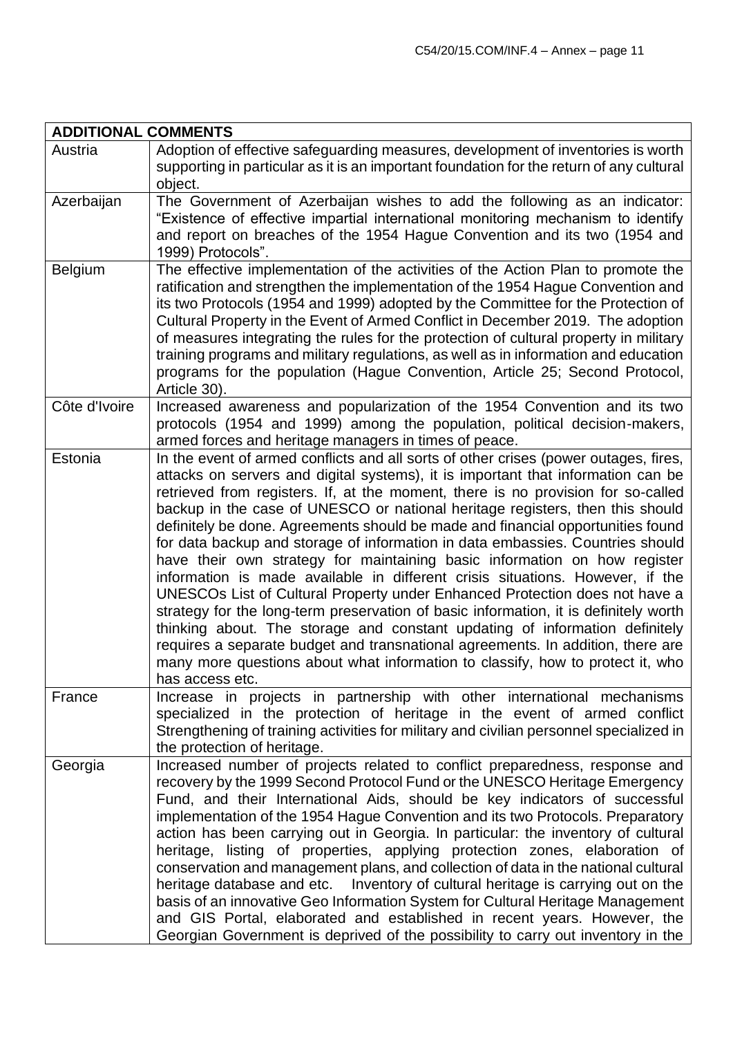| <b>ADDITIONAL COMMENTS</b> |                                                                                                                                                                                                                                                                                                                                                                                                                                                                                                                                                                                                                                                                                                                                                                                                                                                                                                                                                                                                                                                                                                                                |
|----------------------------|--------------------------------------------------------------------------------------------------------------------------------------------------------------------------------------------------------------------------------------------------------------------------------------------------------------------------------------------------------------------------------------------------------------------------------------------------------------------------------------------------------------------------------------------------------------------------------------------------------------------------------------------------------------------------------------------------------------------------------------------------------------------------------------------------------------------------------------------------------------------------------------------------------------------------------------------------------------------------------------------------------------------------------------------------------------------------------------------------------------------------------|
| Austria                    | Adoption of effective safeguarding measures, development of inventories is worth<br>supporting in particular as it is an important foundation for the return of any cultural<br>object.                                                                                                                                                                                                                                                                                                                                                                                                                                                                                                                                                                                                                                                                                                                                                                                                                                                                                                                                        |
| Azerbaijan                 | The Government of Azerbaijan wishes to add the following as an indicator:<br>"Existence of effective impartial international monitoring mechanism to identify<br>and report on breaches of the 1954 Hague Convention and its two (1954 and<br>1999) Protocols".                                                                                                                                                                                                                                                                                                                                                                                                                                                                                                                                                                                                                                                                                                                                                                                                                                                                |
| <b>Belgium</b>             | The effective implementation of the activities of the Action Plan to promote the<br>ratification and strengthen the implementation of the 1954 Hague Convention and<br>its two Protocols (1954 and 1999) adopted by the Committee for the Protection of<br>Cultural Property in the Event of Armed Conflict in December 2019. The adoption<br>of measures integrating the rules for the protection of cultural property in military<br>training programs and military regulations, as well as in information and education<br>programs for the population (Hague Convention, Article 25; Second Protocol,<br>Article 30).                                                                                                                                                                                                                                                                                                                                                                                                                                                                                                      |
| Côte d'Ivoire              | Increased awareness and popularization of the 1954 Convention and its two<br>protocols (1954 and 1999) among the population, political decision-makers,<br>armed forces and heritage managers in times of peace.                                                                                                                                                                                                                                                                                                                                                                                                                                                                                                                                                                                                                                                                                                                                                                                                                                                                                                               |
| Estonia                    | In the event of armed conflicts and all sorts of other crises (power outages, fires,<br>attacks on servers and digital systems), it is important that information can be<br>retrieved from registers. If, at the moment, there is no provision for so-called<br>backup in the case of UNESCO or national heritage registers, then this should<br>definitely be done. Agreements should be made and financial opportunities found<br>for data backup and storage of information in data embassies. Countries should<br>have their own strategy for maintaining basic information on how register<br>information is made available in different crisis situations. However, if the<br>UNESCOs List of Cultural Property under Enhanced Protection does not have a<br>strategy for the long-term preservation of basic information, it is definitely worth<br>thinking about. The storage and constant updating of information definitely<br>requires a separate budget and transnational agreements. In addition, there are<br>many more questions about what information to classify, how to protect it, who<br>has access etc. |
| France                     | Increase in projects in partnership with other international mechanisms<br>specialized in the protection of heritage in the event of armed conflict<br>Strengthening of training activities for military and civilian personnel specialized in<br>the protection of heritage.                                                                                                                                                                                                                                                                                                                                                                                                                                                                                                                                                                                                                                                                                                                                                                                                                                                  |
| Georgia                    | Increased number of projects related to conflict preparedness, response and<br>recovery by the 1999 Second Protocol Fund or the UNESCO Heritage Emergency<br>Fund, and their International Aids, should be key indicators of successful<br>implementation of the 1954 Hague Convention and its two Protocols. Preparatory<br>action has been carrying out in Georgia. In particular: the inventory of cultural<br>heritage, listing of properties, applying protection zones, elaboration of<br>conservation and management plans, and collection of data in the national cultural<br>heritage database and etc.  Inventory of cultural heritage is carrying out on the<br>basis of an innovative Geo Information System for Cultural Heritage Management<br>and GIS Portal, elaborated and established in recent years. However, the<br>Georgian Government is deprived of the possibility to carry out inventory in the                                                                                                                                                                                                      |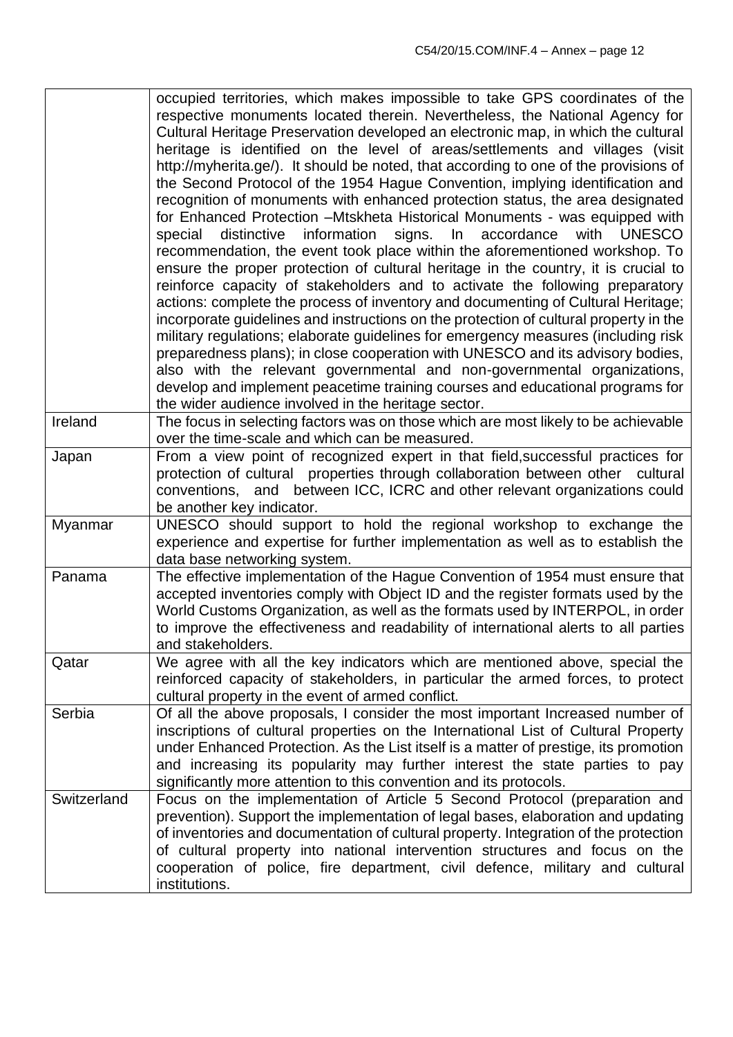|             | occupied territories, which makes impossible to take GPS coordinates of the<br>respective monuments located therein. Nevertheless, the National Agency for<br>Cultural Heritage Preservation developed an electronic map, in which the cultural<br>heritage is identified on the level of areas/settlements and villages (visit<br>http://myherita.ge/). It should be noted, that according to one of the provisions of<br>the Second Protocol of the 1954 Hague Convention, implying identification and<br>recognition of monuments with enhanced protection status, the area designated<br>for Enhanced Protection - Mtskheta Historical Monuments - was equipped with<br>information signs. In accordance<br>with<br>distinctive<br><b>UNESCO</b><br>special<br>recommendation, the event took place within the aforementioned workshop. To<br>ensure the proper protection of cultural heritage in the country, it is crucial to<br>reinforce capacity of stakeholders and to activate the following preparatory<br>actions: complete the process of inventory and documenting of Cultural Heritage;<br>incorporate guidelines and instructions on the protection of cultural property in the<br>military regulations; elaborate guidelines for emergency measures (including risk<br>preparedness plans); in close cooperation with UNESCO and its advisory bodies,<br>also with the relevant governmental and non-governmental organizations,<br>develop and implement peacetime training courses and educational programs for<br>the wider audience involved in the heritage sector. |
|-------------|---------------------------------------------------------------------------------------------------------------------------------------------------------------------------------------------------------------------------------------------------------------------------------------------------------------------------------------------------------------------------------------------------------------------------------------------------------------------------------------------------------------------------------------------------------------------------------------------------------------------------------------------------------------------------------------------------------------------------------------------------------------------------------------------------------------------------------------------------------------------------------------------------------------------------------------------------------------------------------------------------------------------------------------------------------------------------------------------------------------------------------------------------------------------------------------------------------------------------------------------------------------------------------------------------------------------------------------------------------------------------------------------------------------------------------------------------------------------------------------------------------------------------------------------------------------------------------------------|
| Ireland     | The focus in selecting factors was on those which are most likely to be achievable<br>over the time-scale and which can be measured.                                                                                                                                                                                                                                                                                                                                                                                                                                                                                                                                                                                                                                                                                                                                                                                                                                                                                                                                                                                                                                                                                                                                                                                                                                                                                                                                                                                                                                                        |
| Japan       | From a view point of recognized expert in that field, successful practices for<br>protection of cultural properties through collaboration between other cultural<br>conventions, and between ICC, ICRC and other relevant organizations could<br>be another key indicator.                                                                                                                                                                                                                                                                                                                                                                                                                                                                                                                                                                                                                                                                                                                                                                                                                                                                                                                                                                                                                                                                                                                                                                                                                                                                                                                  |
| Myanmar     | UNESCO should support to hold the regional workshop to exchange the<br>experience and expertise for further implementation as well as to establish the<br>data base networking system.                                                                                                                                                                                                                                                                                                                                                                                                                                                                                                                                                                                                                                                                                                                                                                                                                                                                                                                                                                                                                                                                                                                                                                                                                                                                                                                                                                                                      |
| Panama      | The effective implementation of the Hague Convention of 1954 must ensure that<br>accepted inventories comply with Object ID and the register formats used by the<br>World Customs Organization, as well as the formats used by INTERPOL, in order<br>to improve the effectiveness and readability of international alerts to all parties<br>and stakeholders.                                                                                                                                                                                                                                                                                                                                                                                                                                                                                                                                                                                                                                                                                                                                                                                                                                                                                                                                                                                                                                                                                                                                                                                                                               |
| Qatar       | We agree with all the key indicators which are mentioned above, special the<br>reinforced capacity of stakeholders, in particular the armed forces, to protect<br>cultural property in the event of armed conflict.                                                                                                                                                                                                                                                                                                                                                                                                                                                                                                                                                                                                                                                                                                                                                                                                                                                                                                                                                                                                                                                                                                                                                                                                                                                                                                                                                                         |
| Serbia      | Of all the above proposals, I consider the most important Increased number of<br>inscriptions of cultural properties on the International List of Cultural Property<br>under Enhanced Protection. As the List itself is a matter of prestige, its promotion<br>and increasing its popularity may further interest the state parties to pay<br>significantly more attention to this convention and its protocols.                                                                                                                                                                                                                                                                                                                                                                                                                                                                                                                                                                                                                                                                                                                                                                                                                                                                                                                                                                                                                                                                                                                                                                            |
| Switzerland | Focus on the implementation of Article 5 Second Protocol (preparation and<br>prevention). Support the implementation of legal bases, elaboration and updating<br>of inventories and documentation of cultural property. Integration of the protection<br>of cultural property into national intervention structures and focus on the<br>cooperation of police, fire department, civil defence, military and cultural<br>institutions.                                                                                                                                                                                                                                                                                                                                                                                                                                                                                                                                                                                                                                                                                                                                                                                                                                                                                                                                                                                                                                                                                                                                                       |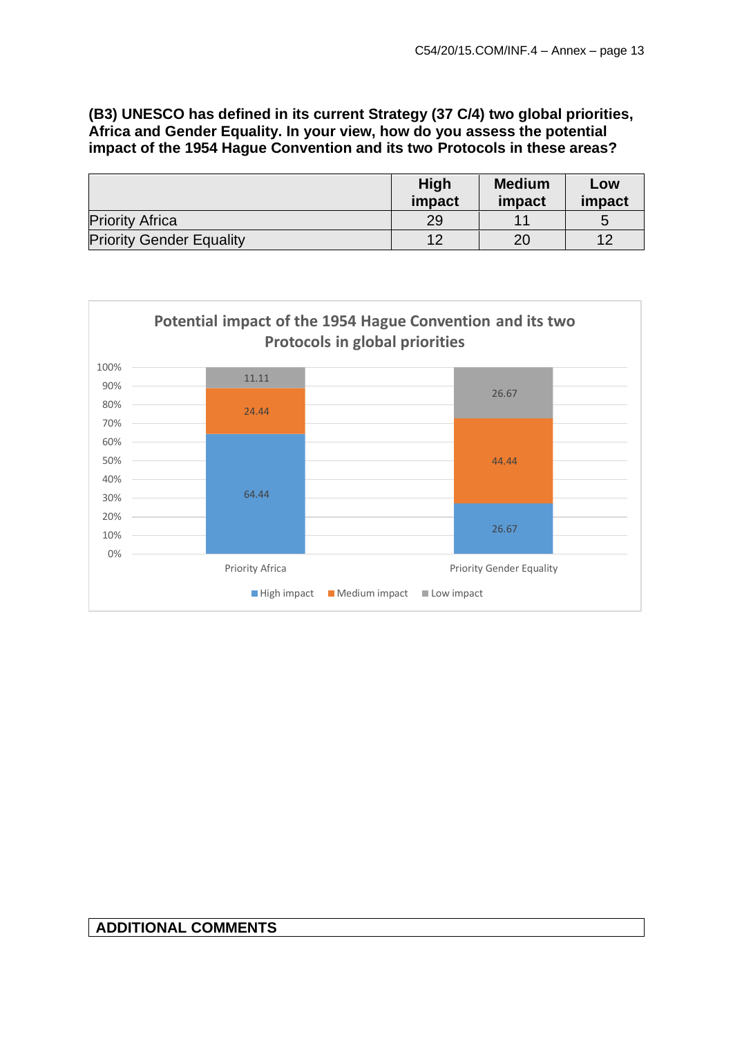# **(B3) UNESCO has defined in its current Strategy (37 C/4) two global priorities, Africa and Gender Equality. In your view, how do you assess the potential impact of the 1954 Hague Convention and its two Protocols in these areas?**

|                                 | High<br>impact | <b>Medium</b><br>impact | Low<br>impact |
|---------------------------------|----------------|-------------------------|---------------|
| <b>Priority Africa</b>          | 29             | 11                      |               |
| <b>Priority Gender Equality</b> | 12             | 20                      | ィっ            |



# **ADDITIONAL COMMENTS**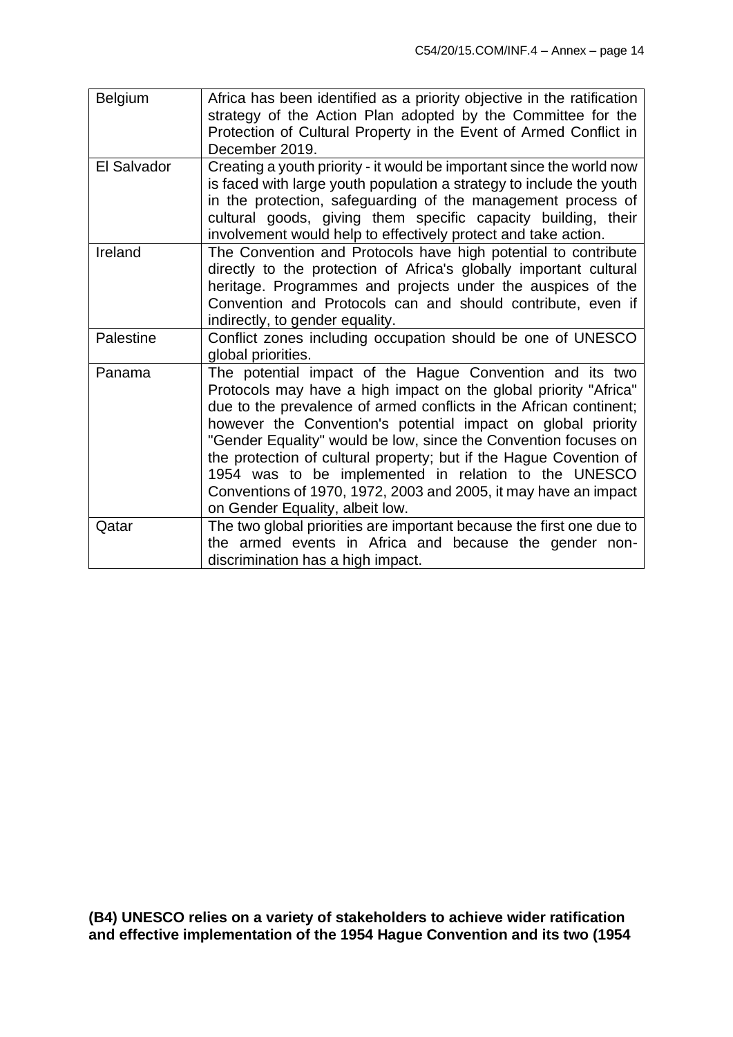| <b>Belgium</b> | Africa has been identified as a priority objective in the ratification<br>strategy of the Action Plan adopted by the Committee for the<br>Protection of Cultural Property in the Event of Armed Conflict in<br>December 2019.                                                                                                                                                                                                                                                                                                                                             |
|----------------|---------------------------------------------------------------------------------------------------------------------------------------------------------------------------------------------------------------------------------------------------------------------------------------------------------------------------------------------------------------------------------------------------------------------------------------------------------------------------------------------------------------------------------------------------------------------------|
| El Salvador    | Creating a youth priority - it would be important since the world now<br>is faced with large youth population a strategy to include the youth<br>in the protection, safeguarding of the management process of<br>cultural goods, giving them specific capacity building, their<br>involvement would help to effectively protect and take action.                                                                                                                                                                                                                          |
| Ireland        | The Convention and Protocols have high potential to contribute<br>directly to the protection of Africa's globally important cultural<br>heritage. Programmes and projects under the auspices of the<br>Convention and Protocols can and should contribute, even if<br>indirectly, to gender equality.                                                                                                                                                                                                                                                                     |
| Palestine      | Conflict zones including occupation should be one of UNESCO<br>global priorities.                                                                                                                                                                                                                                                                                                                                                                                                                                                                                         |
| Panama         | The potential impact of the Hague Convention and its two<br>Protocols may have a high impact on the global priority "Africa"<br>due to the prevalence of armed conflicts in the African continent;<br>however the Convention's potential impact on global priority<br>"Gender Equality" would be low, since the Convention focuses on<br>the protection of cultural property; but if the Hague Covention of<br>1954 was to be implemented in relation to the UNESCO<br>Conventions of 1970, 1972, 2003 and 2005, it may have an impact<br>on Gender Equality, albeit low. |
| Qatar          | The two global priorities are important because the first one due to<br>the armed events in Africa and because the gender non-<br>discrimination has a high impact.                                                                                                                                                                                                                                                                                                                                                                                                       |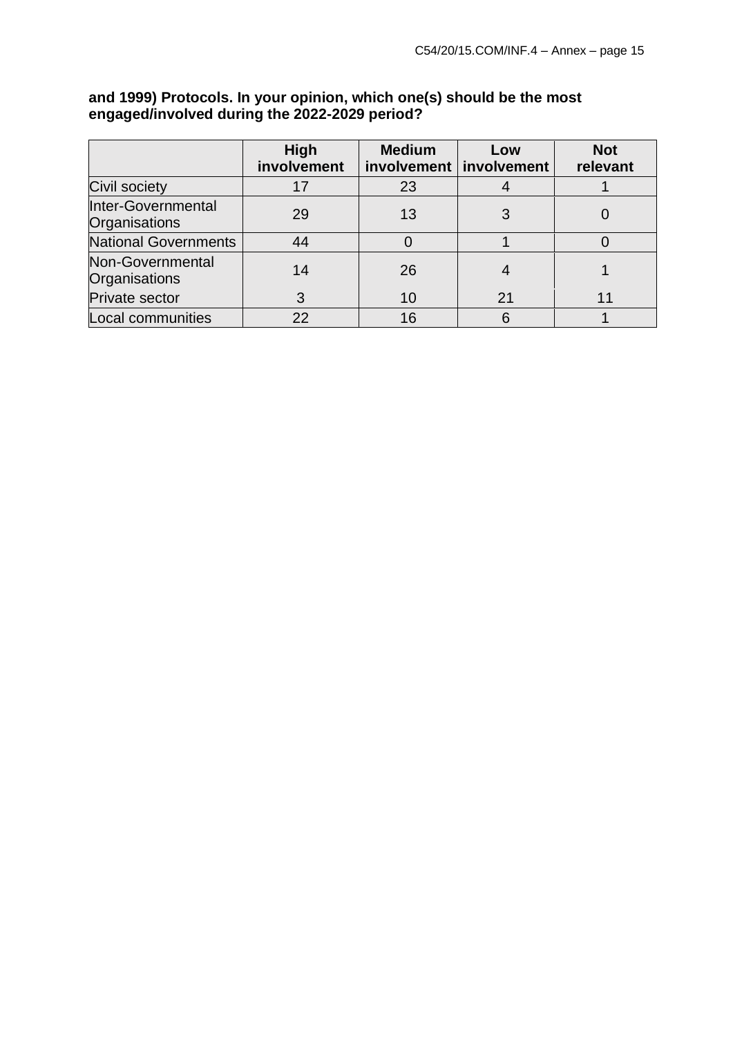#### **High involvement Medium involvement involvement Low Not relevant** Civil society | 17 | 23 | 4 | 1 Inter-Governmental  $\begin{array}{c|c|c|c|c|c|c|c} \hline \text{Inter-Goverin…} & \text{and} & \text{if} & 29 & 13 & 3 & 0 \ \hline \text{Organisations} & & 29 & 13 & 3 & 0 \ \hline \end{array}$ National Governments **44** 0 1 1 0 Non-Governmental  $\begin{array}{c|c|c|c|c|c|c|c|c} \hline \text{Non-Covernmental} & & & 14 & & 26 & & 4 & & 1 \ \hline \text{Organisations} & & & & & 14 & & 26 & & 4 & & 1 \ \hline \end{array}$ Private sector 3 10 21 11  $\lfloor$  Local communities  $\lfloor$  22  $\rfloor$  16  $\lfloor$  6  $\rfloor$  1

## **and 1999) Protocols. In your opinion, which one(s) should be the most engaged/involved during the 2022-2029 period?**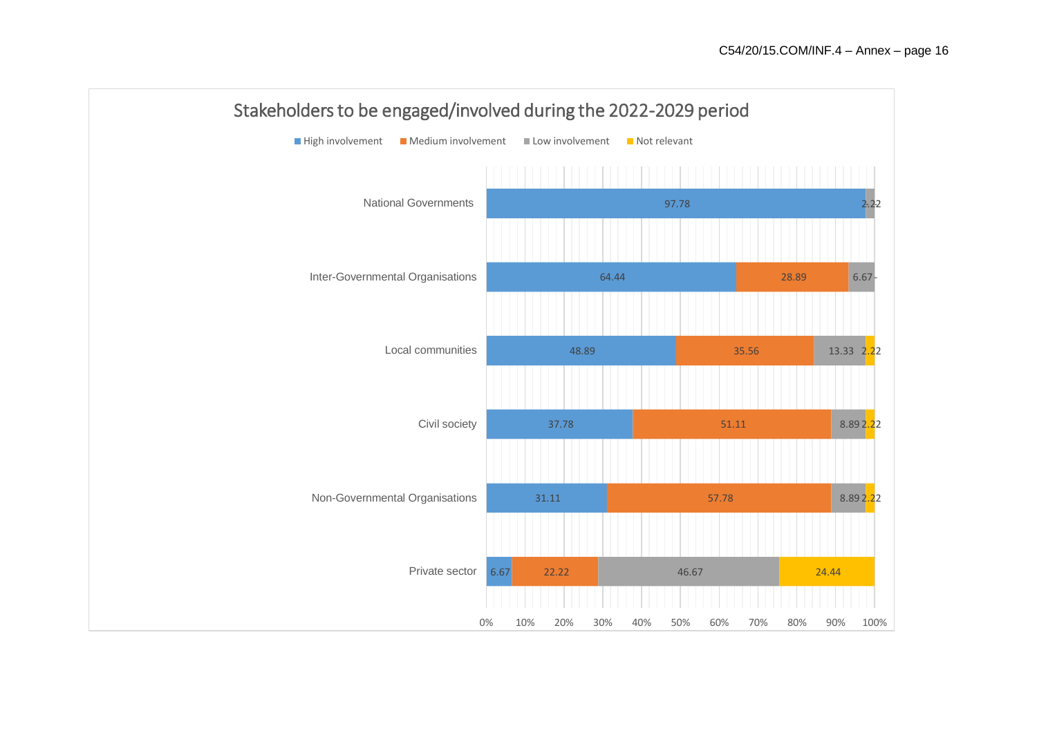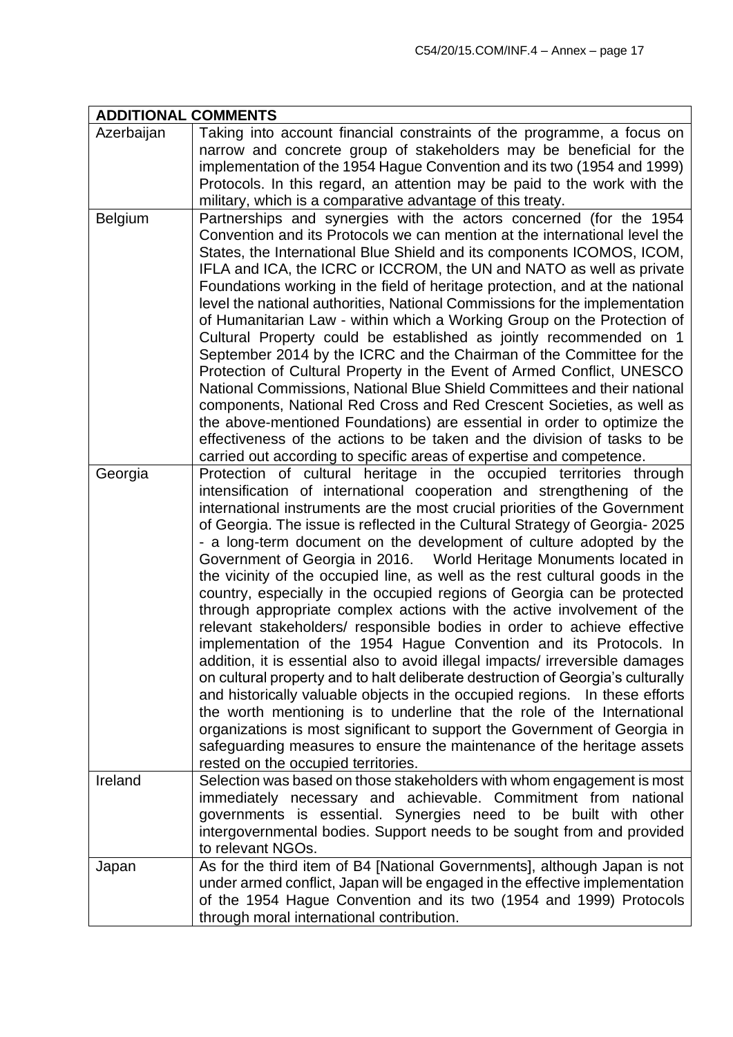| <b>ADDITIONAL COMMENTS</b> |                                                                                                                                                                                                                                                                                                                                                                                                                                                                                                                                                                                                                                                                                                                                                                                                                                                                                                                                                                                                                                                                                                                                                                                                                                                                                                                                                                            |
|----------------------------|----------------------------------------------------------------------------------------------------------------------------------------------------------------------------------------------------------------------------------------------------------------------------------------------------------------------------------------------------------------------------------------------------------------------------------------------------------------------------------------------------------------------------------------------------------------------------------------------------------------------------------------------------------------------------------------------------------------------------------------------------------------------------------------------------------------------------------------------------------------------------------------------------------------------------------------------------------------------------------------------------------------------------------------------------------------------------------------------------------------------------------------------------------------------------------------------------------------------------------------------------------------------------------------------------------------------------------------------------------------------------|
| Azerbaijan                 | Taking into account financial constraints of the programme, a focus on<br>narrow and concrete group of stakeholders may be beneficial for the<br>implementation of the 1954 Hague Convention and its two (1954 and 1999)<br>Protocols. In this regard, an attention may be paid to the work with the<br>military, which is a comparative advantage of this treaty.                                                                                                                                                                                                                                                                                                                                                                                                                                                                                                                                                                                                                                                                                                                                                                                                                                                                                                                                                                                                         |
| Belgium                    | Partnerships and synergies with the actors concerned (for the 1954<br>Convention and its Protocols we can mention at the international level the<br>States, the International Blue Shield and its components ICOMOS, ICOM,<br>IFLA and ICA, the ICRC or ICCROM, the UN and NATO as well as private<br>Foundations working in the field of heritage protection, and at the national<br>level the national authorities, National Commissions for the implementation<br>of Humanitarian Law - within which a Working Group on the Protection of<br>Cultural Property could be established as jointly recommended on 1<br>September 2014 by the ICRC and the Chairman of the Committee for the<br>Protection of Cultural Property in the Event of Armed Conflict, UNESCO<br>National Commissions, National Blue Shield Committees and their national<br>components, National Red Cross and Red Crescent Societies, as well as<br>the above-mentioned Foundations) are essential in order to optimize the<br>effectiveness of the actions to be taken and the division of tasks to be<br>carried out according to specific areas of expertise and competence.                                                                                                                                                                                                                   |
| Georgia                    | Protection of cultural heritage in the occupied territories through<br>intensification of international cooperation and strengthening of the<br>international instruments are the most crucial priorities of the Government<br>of Georgia. The issue is reflected in the Cultural Strategy of Georgia- 2025<br>- a long-term document on the development of culture adopted by the<br>Government of Georgia in 2016.  World Heritage Monuments located in<br>the vicinity of the occupied line, as well as the rest cultural goods in the<br>country, especially in the occupied regions of Georgia can be protected<br>through appropriate complex actions with the active involvement of the<br>relevant stakeholders/ responsible bodies in order to achieve effective<br>implementation of the 1954 Hague Convention and its Protocols. In<br>addition, it is essential also to avoid illegal impacts/ irreversible damages<br>on cultural property and to halt deliberate destruction of Georgia's culturally<br>and historically valuable objects in the occupied regions. In these efforts<br>the worth mentioning is to underline that the role of the International<br>organizations is most significant to support the Government of Georgia in<br>safeguarding measures to ensure the maintenance of the heritage assets<br>rested on the occupied territories. |
| Ireland                    | Selection was based on those stakeholders with whom engagement is most<br>immediately necessary and achievable. Commitment from national<br>governments is essential. Synergies need to be built with other<br>intergovernmental bodies. Support needs to be sought from and provided<br>to relevant NGOs.                                                                                                                                                                                                                                                                                                                                                                                                                                                                                                                                                                                                                                                                                                                                                                                                                                                                                                                                                                                                                                                                 |
| Japan                      | As for the third item of B4 [National Governments], although Japan is not<br>under armed conflict, Japan will be engaged in the effective implementation<br>of the 1954 Hague Convention and its two (1954 and 1999) Protocols<br>through moral international contribution.                                                                                                                                                                                                                                                                                                                                                                                                                                                                                                                                                                                                                                                                                                                                                                                                                                                                                                                                                                                                                                                                                                |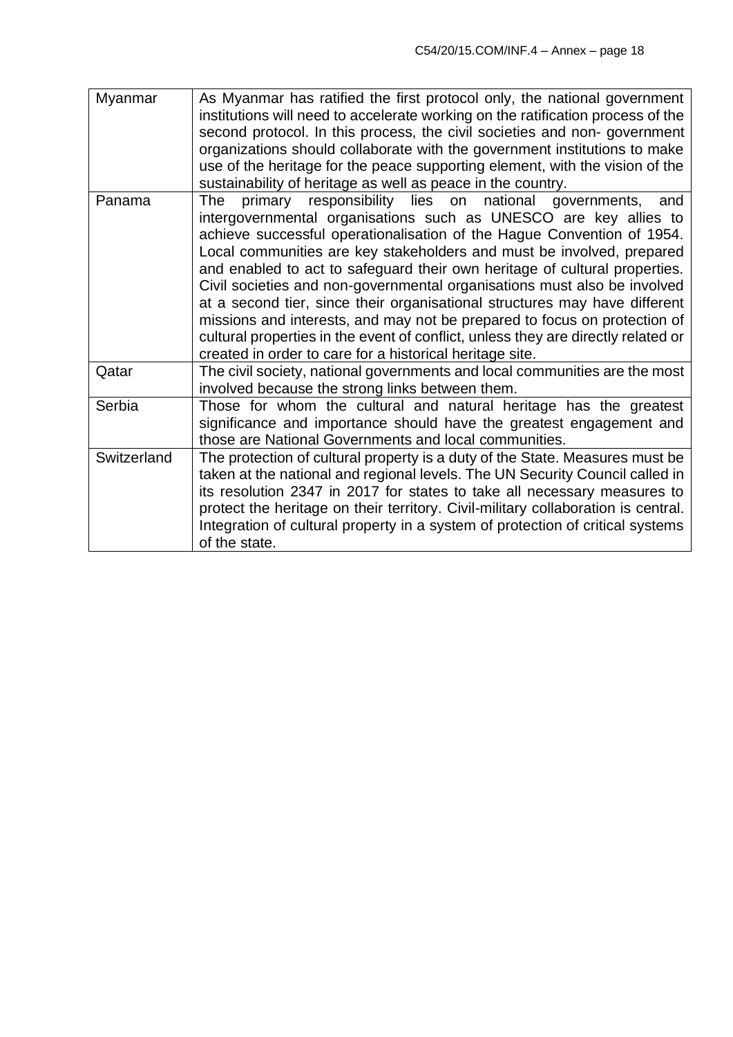| Myanmar     | As Myanmar has ratified the first protocol only, the national government<br>institutions will need to accelerate working on the ratification process of the<br>second protocol. In this process, the civil societies and non-government<br>organizations should collaborate with the government institutions to make<br>use of the heritage for the peace supporting element, with the vision of the<br>sustainability of heritage as well as peace in the country.                                                                                                                                                                                                                                                                                             |
|-------------|-----------------------------------------------------------------------------------------------------------------------------------------------------------------------------------------------------------------------------------------------------------------------------------------------------------------------------------------------------------------------------------------------------------------------------------------------------------------------------------------------------------------------------------------------------------------------------------------------------------------------------------------------------------------------------------------------------------------------------------------------------------------|
| Panama      | primary responsibility lies on national governments,<br>The<br>and<br>intergovernmental organisations such as UNESCO are key allies to<br>achieve successful operationalisation of the Hague Convention of 1954.<br>Local communities are key stakeholders and must be involved, prepared<br>and enabled to act to safeguard their own heritage of cultural properties.<br>Civil societies and non-governmental organisations must also be involved<br>at a second tier, since their organisational structures may have different<br>missions and interests, and may not be prepared to focus on protection of<br>cultural properties in the event of conflict, unless they are directly related or<br>created in order to care for a historical heritage site. |
| Qatar       | The civil society, national governments and local communities are the most<br>involved because the strong links between them.                                                                                                                                                                                                                                                                                                                                                                                                                                                                                                                                                                                                                                   |
| Serbia      | Those for whom the cultural and natural heritage has the greatest<br>significance and importance should have the greatest engagement and<br>those are National Governments and local communities.                                                                                                                                                                                                                                                                                                                                                                                                                                                                                                                                                               |
| Switzerland | The protection of cultural property is a duty of the State. Measures must be<br>taken at the national and regional levels. The UN Security Council called in<br>its resolution 2347 in 2017 for states to take all necessary measures to<br>protect the heritage on their territory. Civil-military collaboration is central.<br>Integration of cultural property in a system of protection of critical systems<br>of the state.                                                                                                                                                                                                                                                                                                                                |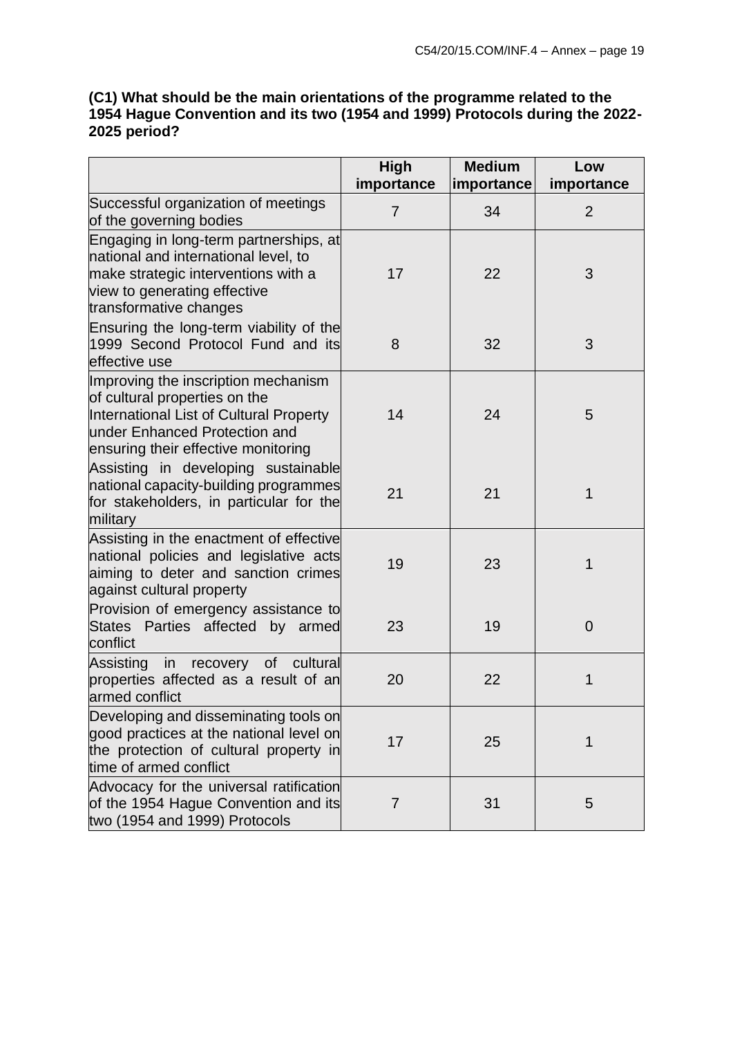# **(C1) What should be the main orientations of the programme related to the 1954 Hague Convention and its two (1954 and 1999) Protocols during the 2022- 2025 period?**

|                                                                                                                                                                                         | High                         | <b>Medium</b>    | Low                          |
|-----------------------------------------------------------------------------------------------------------------------------------------------------------------------------------------|------------------------------|------------------|------------------------------|
| Successful organization of meetings<br>of the governing bodies                                                                                                                          | importance<br>$\overline{7}$ | importance<br>34 | importance<br>$\overline{2}$ |
| Engaging in long-term partnerships, at<br>national and international level, to<br>make strategic interventions with a<br>view to generating effective<br>transformative changes         | 17                           | 22               | 3                            |
| Ensuring the long-term viability of the<br>1999 Second Protocol Fund and its<br>effective use                                                                                           | 8                            | 32               | 3                            |
| Improving the inscription mechanism<br>of cultural properties on the<br>International List of Cultural Property<br>under Enhanced Protection and<br>ensuring their effective monitoring | 14                           | 24               | 5                            |
| Assisting in developing sustainable<br>national capacity-building programmes<br>for stakeholders, in particular for the<br>military                                                     | 21                           | 21               | 1                            |
| Assisting in the enactment of effective<br>national policies and legislative acts<br>aiming to deter and sanction crimes<br>against cultural property                                   | 19                           | 23               | 1                            |
| Provision of emergency assistance to<br>States Parties affected by armed<br>conflict                                                                                                    | 23                           | 19               | $\overline{0}$               |
| Assisting<br>in recovery of cultural<br>properties affected as a result of an<br>armed conflict                                                                                         | 20                           | 22               | 1                            |
| Developing and disseminating tools on<br>good practices at the national level on<br>the protection of cultural property in<br>time of armed conflict                                    | 17                           | 25               | 1                            |
| Advocacy for the universal ratification<br>of the 1954 Hague Convention and its<br>two (1954 and 1999) Protocols                                                                        | $\overline{7}$               | 31               | 5                            |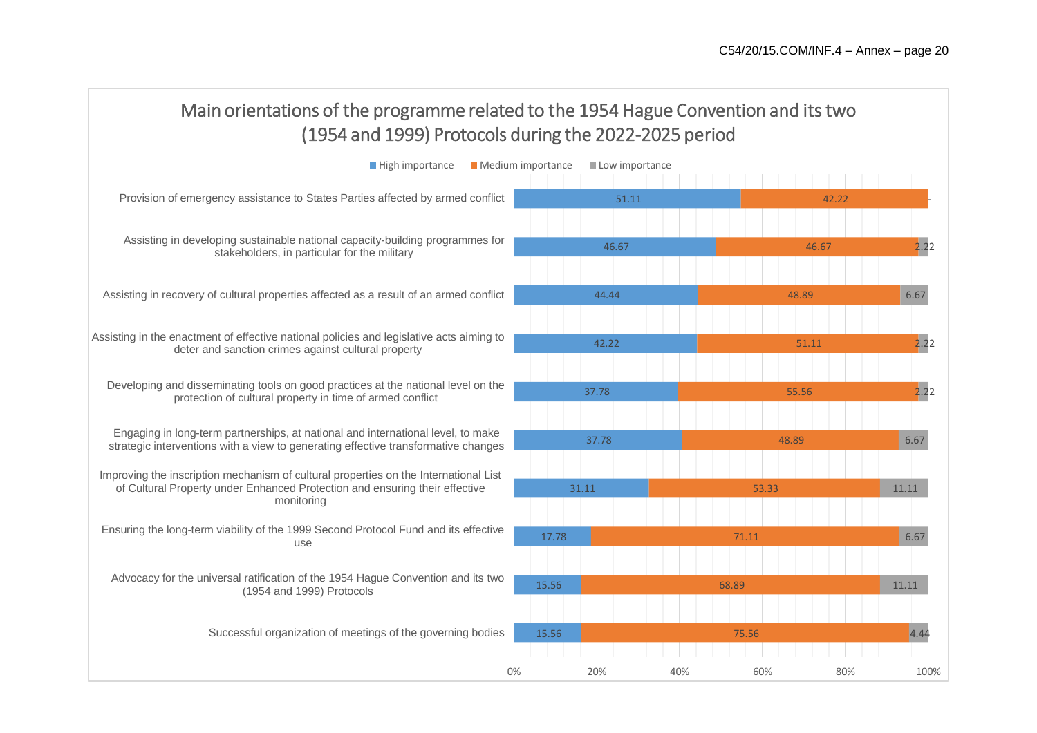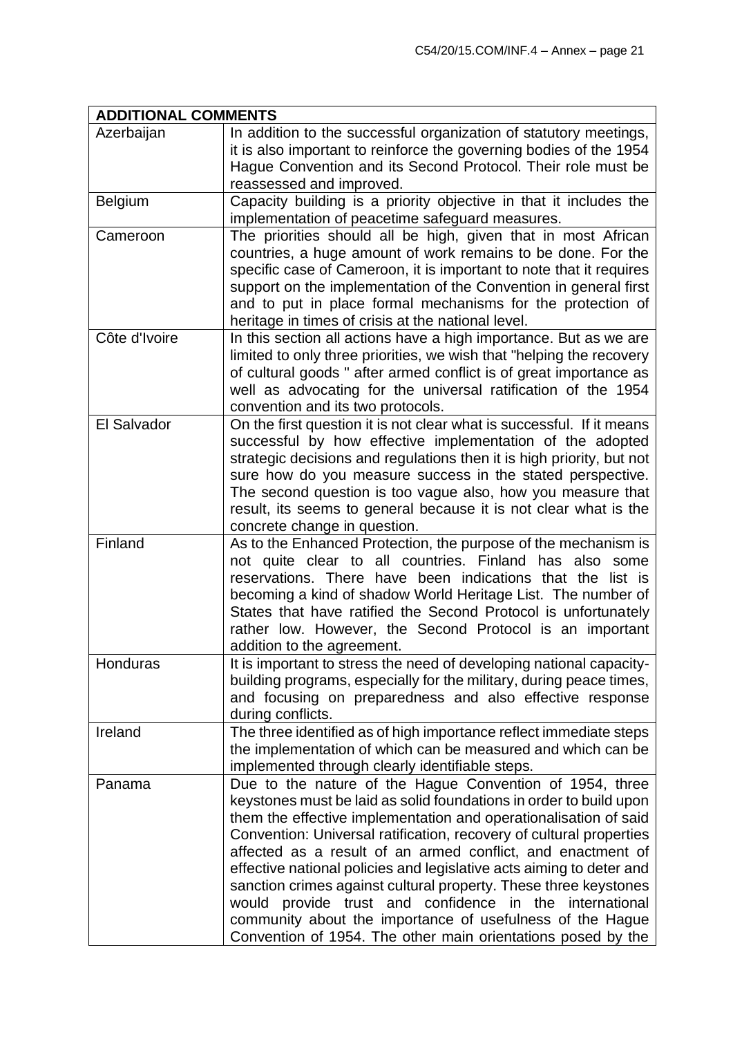| <b>ADDITIONAL COMMENTS</b> |                                                                                                                                                                                                                                                                                                                                                                                                                                                                                                                                                                                                                                                                              |  |  |  |
|----------------------------|------------------------------------------------------------------------------------------------------------------------------------------------------------------------------------------------------------------------------------------------------------------------------------------------------------------------------------------------------------------------------------------------------------------------------------------------------------------------------------------------------------------------------------------------------------------------------------------------------------------------------------------------------------------------------|--|--|--|
| Azerbaijan                 | In addition to the successful organization of statutory meetings,<br>it is also important to reinforce the governing bodies of the 1954<br>Hague Convention and its Second Protocol. Their role must be<br>reassessed and improved.                                                                                                                                                                                                                                                                                                                                                                                                                                          |  |  |  |
| Belgium                    | Capacity building is a priority objective in that it includes the<br>implementation of peacetime safeguard measures.                                                                                                                                                                                                                                                                                                                                                                                                                                                                                                                                                         |  |  |  |
| Cameroon                   | The priorities should all be high, given that in most African<br>countries, a huge amount of work remains to be done. For the<br>specific case of Cameroon, it is important to note that it requires<br>support on the implementation of the Convention in general first<br>and to put in place formal mechanisms for the protection of<br>heritage in times of crisis at the national level.                                                                                                                                                                                                                                                                                |  |  |  |
| Côte d'Ivoire              | In this section all actions have a high importance. But as we are<br>limited to only three priorities, we wish that "helping the recovery<br>of cultural goods " after armed conflict is of great importance as<br>well as advocating for the universal ratification of the 1954<br>convention and its two protocols.                                                                                                                                                                                                                                                                                                                                                        |  |  |  |
| El Salvador                | On the first question it is not clear what is successful. If it means<br>successful by how effective implementation of the adopted<br>strategic decisions and regulations then it is high priority, but not<br>sure how do you measure success in the stated perspective.<br>The second question is too vague also, how you measure that<br>result, its seems to general because it is not clear what is the<br>concrete change in question.                                                                                                                                                                                                                                 |  |  |  |
| Finland                    | As to the Enhanced Protection, the purpose of the mechanism is<br>not quite clear to all countries. Finland has also<br>some<br>reservations. There have been indications that the list is<br>becoming a kind of shadow World Heritage List. The number of<br>States that have ratified the Second Protocol is unfortunately<br>rather low. However, the Second Protocol is an important<br>addition to the agreement.                                                                                                                                                                                                                                                       |  |  |  |
| Honduras                   | It is important to stress the need of developing national capacity-<br>building programs, especially for the military, during peace times,<br>and focusing on preparedness and also effective response<br>during conflicts.                                                                                                                                                                                                                                                                                                                                                                                                                                                  |  |  |  |
| Ireland                    | The three identified as of high importance reflect immediate steps<br>the implementation of which can be measured and which can be<br>implemented through clearly identifiable steps.                                                                                                                                                                                                                                                                                                                                                                                                                                                                                        |  |  |  |
| Panama                     | Due to the nature of the Hague Convention of 1954, three<br>keystones must be laid as solid foundations in order to build upon<br>them the effective implementation and operationalisation of said<br>Convention: Universal ratification, recovery of cultural properties<br>affected as a result of an armed conflict, and enactment of<br>effective national policies and legislative acts aiming to deter and<br>sanction crimes against cultural property. These three keystones<br>would provide trust and confidence in the international<br>community about the importance of usefulness of the Hague<br>Convention of 1954. The other main orientations posed by the |  |  |  |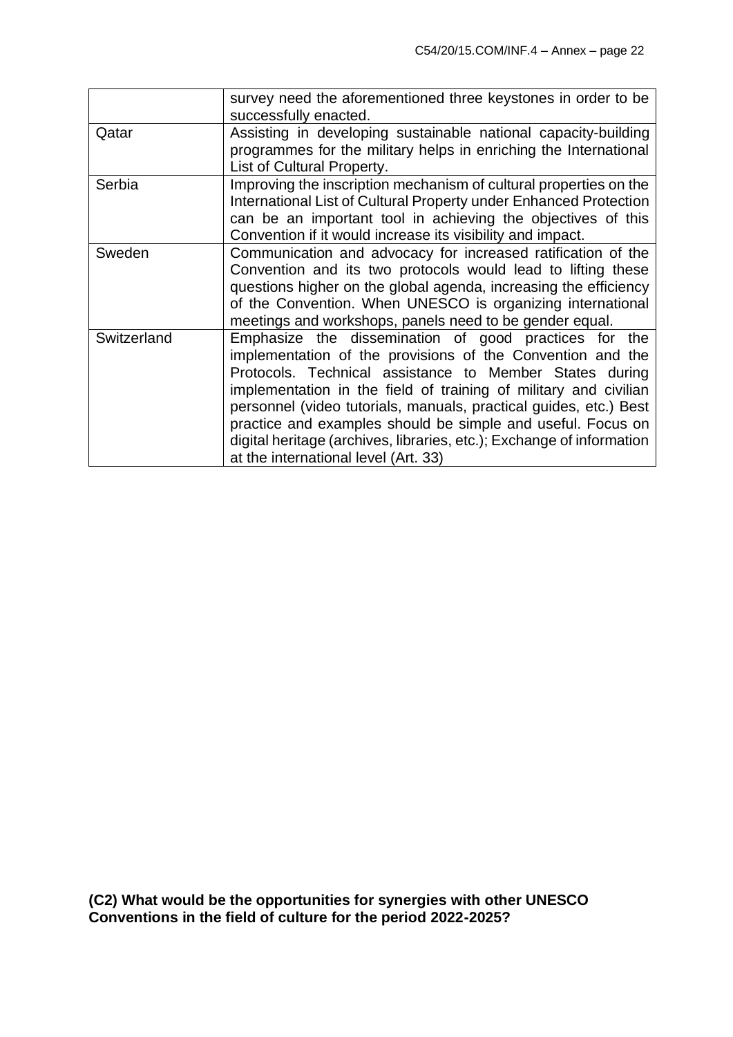|             | survey need the aforementioned three keystones in order to be<br>successfully enacted.                                                                                                                                                                                                                                                                                                                                                                                                                  |
|-------------|---------------------------------------------------------------------------------------------------------------------------------------------------------------------------------------------------------------------------------------------------------------------------------------------------------------------------------------------------------------------------------------------------------------------------------------------------------------------------------------------------------|
| Qatar       | Assisting in developing sustainable national capacity-building<br>programmes for the military helps in enriching the International<br>List of Cultural Property.                                                                                                                                                                                                                                                                                                                                        |
| Serbia      | Improving the inscription mechanism of cultural properties on the<br>International List of Cultural Property under Enhanced Protection<br>can be an important tool in achieving the objectives of this<br>Convention if it would increase its visibility and impact.                                                                                                                                                                                                                                    |
| Sweden      | Communication and advocacy for increased ratification of the<br>Convention and its two protocols would lead to lifting these<br>questions higher on the global agenda, increasing the efficiency<br>of the Convention. When UNESCO is organizing international<br>meetings and workshops, panels need to be gender equal.                                                                                                                                                                               |
| Switzerland | Emphasize the dissemination of good practices for the<br>implementation of the provisions of the Convention and the<br>Protocols. Technical assistance to Member States during<br>implementation in the field of training of military and civilian<br>personnel (video tutorials, manuals, practical guides, etc.) Best<br>practice and examples should be simple and useful. Focus on<br>digital heritage (archives, libraries, etc.); Exchange of information<br>at the international level (Art. 33) |

**(C2) What would be the opportunities for synergies with other UNESCO Conventions in the field of culture for the period 2022-2025?**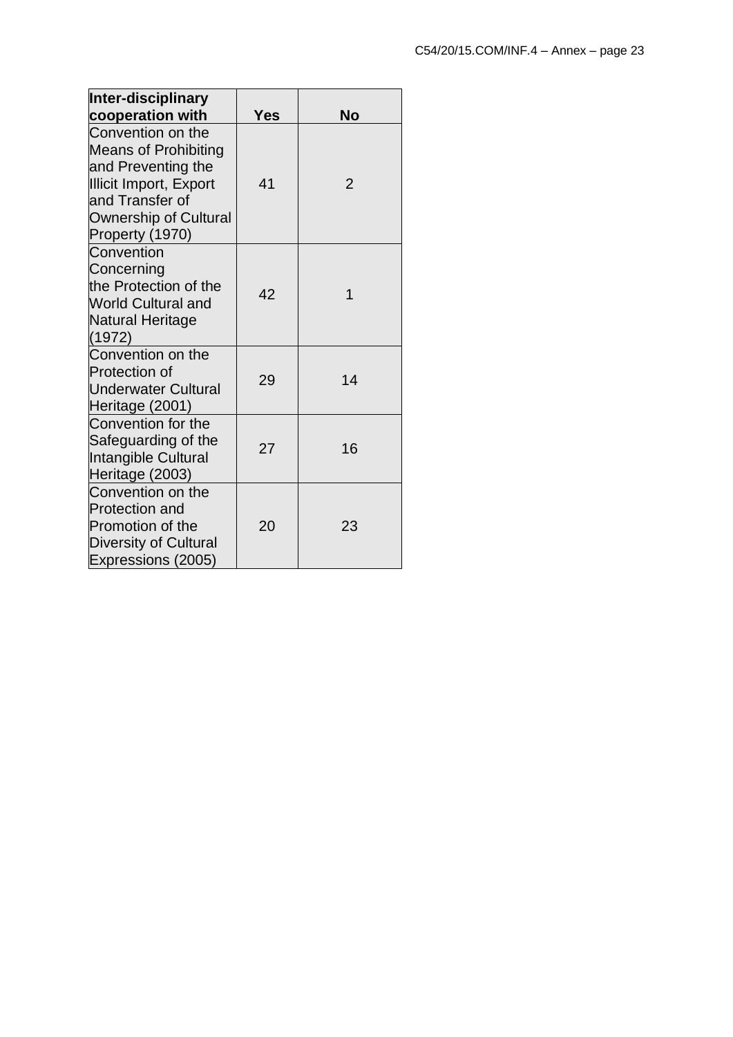| <b>Inter-disciplinary</b>                                                                                                                                              |     |                |
|------------------------------------------------------------------------------------------------------------------------------------------------------------------------|-----|----------------|
| cooperation with                                                                                                                                                       | Yes | <b>No</b>      |
| Convention on the<br><b>Means of Prohibiting</b><br>and Preventing the<br>Illicit Import, Export<br>and Transfer of<br><b>Ownership of Cultural</b><br>Property (1970) | 41  | $\overline{2}$ |
| Convention<br>Concerning<br>the Protection of the<br><b>World Cultural and</b><br>Natural Heritage<br>(1972)                                                           | 42  | 1              |
| Convention on the<br><b>Protection of</b><br><b>Underwater Cultural</b><br>Heritage (2001)                                                                             | 29  | 14             |
| Convention for the<br>Safeguarding of the<br>Intangible Cultural<br>Heritage (2003)                                                                                    | 27  | 16             |
| Convention on the<br><b>Protection and</b><br><b>Promotion of the</b><br>Diversity of Cultural<br>Expressions (2005)                                                   | 20  | 23             |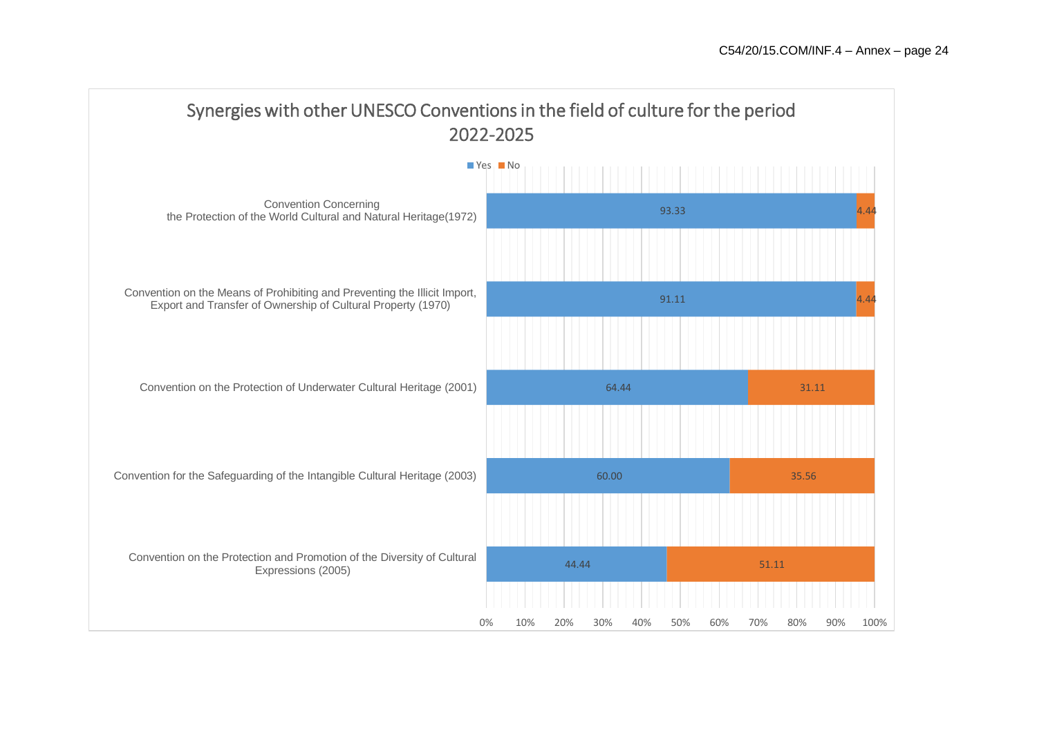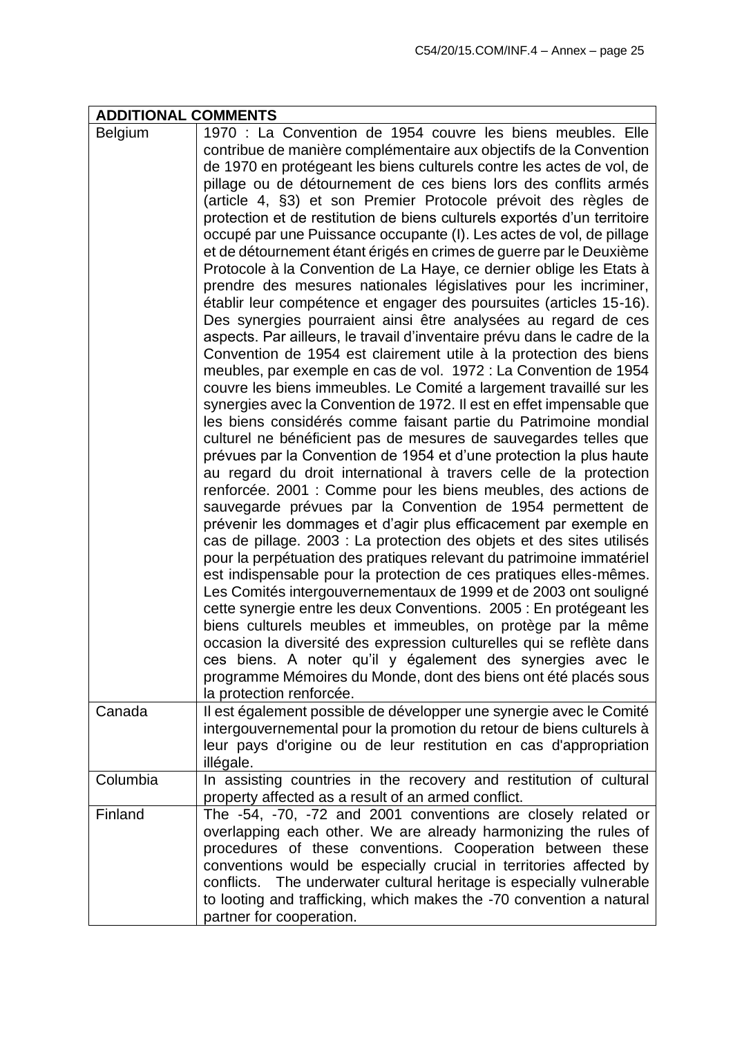| <b>ADDITIONAL COMMENTS</b> |                                                                                                                                                                                                                                                                                                                                                                                                                                                                                                                                                                                                                                                                                                                                                                                                                                                                                                                                                                                                                                                                                                                                                                                                                                                                                                                                                                                                                                                                                                                                                                                                                                                                                                                                                                                                                                                                                                                                                                                                                                                                                                                                                                                                                                                                                                                                                                                                                                                                         |  |  |
|----------------------------|-------------------------------------------------------------------------------------------------------------------------------------------------------------------------------------------------------------------------------------------------------------------------------------------------------------------------------------------------------------------------------------------------------------------------------------------------------------------------------------------------------------------------------------------------------------------------------------------------------------------------------------------------------------------------------------------------------------------------------------------------------------------------------------------------------------------------------------------------------------------------------------------------------------------------------------------------------------------------------------------------------------------------------------------------------------------------------------------------------------------------------------------------------------------------------------------------------------------------------------------------------------------------------------------------------------------------------------------------------------------------------------------------------------------------------------------------------------------------------------------------------------------------------------------------------------------------------------------------------------------------------------------------------------------------------------------------------------------------------------------------------------------------------------------------------------------------------------------------------------------------------------------------------------------------------------------------------------------------------------------------------------------------------------------------------------------------------------------------------------------------------------------------------------------------------------------------------------------------------------------------------------------------------------------------------------------------------------------------------------------------------------------------------------------------------------------------------------------------|--|--|
| Belgium<br>Canada          | 1970 : La Convention de 1954 couvre les biens meubles. Elle<br>contribue de manière complémentaire aux objectifs de la Convention<br>de 1970 en protégeant les biens culturels contre les actes de vol, de<br>pillage ou de détournement de ces biens lors des conflits armés<br>(article 4, §3) et son Premier Protocole prévoit des règles de<br>protection et de restitution de biens culturels exportés d'un territoire<br>occupé par une Puissance occupante (I). Les actes de vol, de pillage<br>et de détournement étant érigés en crimes de guerre par le Deuxième<br>Protocole à la Convention de La Haye, ce dernier oblige les Etats à<br>prendre des mesures nationales législatives pour les incriminer,<br>établir leur compétence et engager des poursuites (articles 15-16).<br>Des synergies pourraient ainsi être analysées au regard de ces<br>aspects. Par ailleurs, le travail d'inventaire prévu dans le cadre de la<br>Convention de 1954 est clairement utile à la protection des biens<br>meubles, par exemple en cas de vol. 1972 : La Convention de 1954<br>couvre les biens immeubles. Le Comité a largement travaillé sur les<br>synergies avec la Convention de 1972. Il est en effet impensable que<br>les biens considérés comme faisant partie du Patrimoine mondial<br>culturel ne bénéficient pas de mesures de sauvegardes telles que<br>prévues par la Convention de 1954 et d'une protection la plus haute<br>au regard du droit international à travers celle de la protection<br>renforcée. 2001 : Comme pour les biens meubles, des actions de<br>sauvegarde prévues par la Convention de 1954 permettent de<br>prévenir les dommages et d'agir plus efficacement par exemple en<br>cas de pillage. 2003 : La protection des objets et des sites utilisés<br>pour la perpétuation des pratiques relevant du patrimoine immatériel<br>est indispensable pour la protection de ces pratiques elles-mêmes.<br>Les Comités intergouvernementaux de 1999 et de 2003 ont souligné<br>cette synergie entre les deux Conventions. 2005 : En protégeant les<br>biens culturels meubles et immeubles, on protège par la même<br>occasion la diversité des expression culturelles qui se reflète dans<br>ces biens. A noter qu'il y également des synergies avec le<br>programme Mémoires du Monde, dont des biens ont été placés sous<br>la protection renforcée.<br>Il est également possible de développer une synergie avec le Comité |  |  |
|                            | intergouvernemental pour la promotion du retour de biens culturels à<br>leur pays d'origine ou de leur restitution en cas d'appropriation<br>illégale.                                                                                                                                                                                                                                                                                                                                                                                                                                                                                                                                                                                                                                                                                                                                                                                                                                                                                                                                                                                                                                                                                                                                                                                                                                                                                                                                                                                                                                                                                                                                                                                                                                                                                                                                                                                                                                                                                                                                                                                                                                                                                                                                                                                                                                                                                                                  |  |  |
| Columbia                   | In assisting countries in the recovery and restitution of cultural<br>property affected as a result of an armed conflict.                                                                                                                                                                                                                                                                                                                                                                                                                                                                                                                                                                                                                                                                                                                                                                                                                                                                                                                                                                                                                                                                                                                                                                                                                                                                                                                                                                                                                                                                                                                                                                                                                                                                                                                                                                                                                                                                                                                                                                                                                                                                                                                                                                                                                                                                                                                                               |  |  |
| Finland                    | The -54, -70, -72 and 2001 conventions are closely related or<br>overlapping each other. We are already harmonizing the rules of<br>procedures of these conventions. Cooperation between these<br>conventions would be especially crucial in territories affected by<br>The underwater cultural heritage is especially vulnerable<br>conflicts.<br>to looting and trafficking, which makes the -70 convention a natural<br>partner for cooperation.                                                                                                                                                                                                                                                                                                                                                                                                                                                                                                                                                                                                                                                                                                                                                                                                                                                                                                                                                                                                                                                                                                                                                                                                                                                                                                                                                                                                                                                                                                                                                                                                                                                                                                                                                                                                                                                                                                                                                                                                                     |  |  |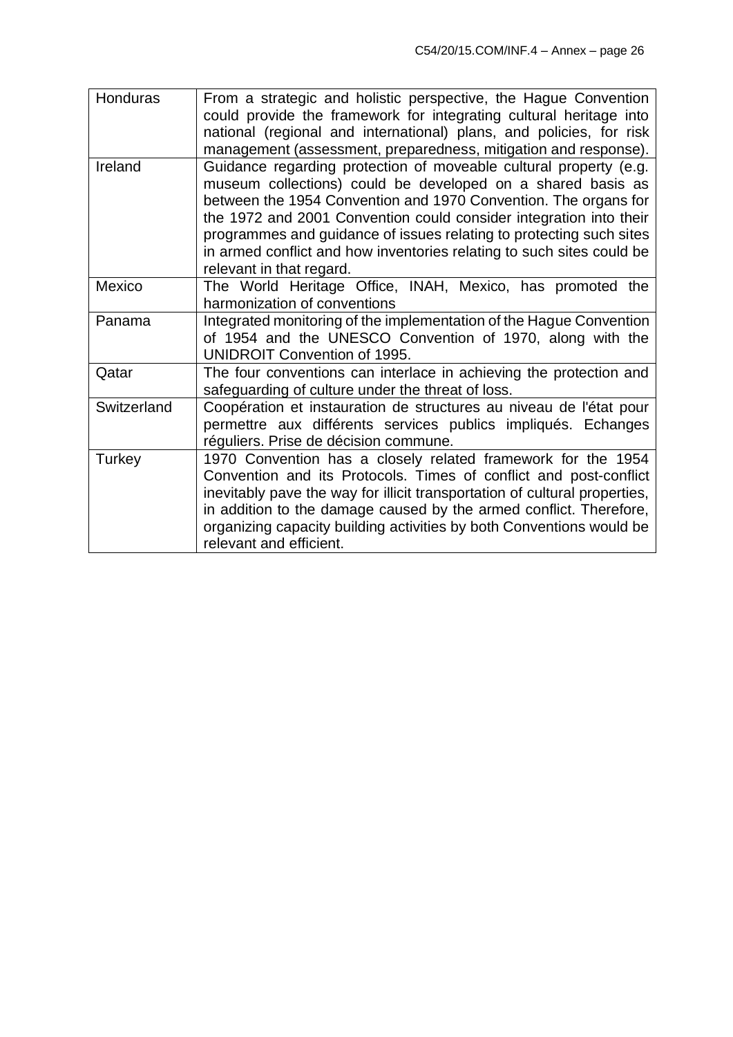| Honduras    | From a strategic and holistic perspective, the Hague Convention<br>could provide the framework for integrating cultural heritage into<br>national (regional and international) plans, and policies, for risk<br>management (assessment, preparedness, mitigation and response).                                                                                                                                                                       |
|-------------|-------------------------------------------------------------------------------------------------------------------------------------------------------------------------------------------------------------------------------------------------------------------------------------------------------------------------------------------------------------------------------------------------------------------------------------------------------|
| Ireland     | Guidance regarding protection of moveable cultural property (e.g.<br>museum collections) could be developed on a shared basis as<br>between the 1954 Convention and 1970 Convention. The organs for<br>the 1972 and 2001 Convention could consider integration into their<br>programmes and guidance of issues relating to protecting such sites<br>in armed conflict and how inventories relating to such sites could be<br>relevant in that regard. |
| Mexico      | The World Heritage Office, INAH, Mexico, has promoted the<br>harmonization of conventions                                                                                                                                                                                                                                                                                                                                                             |
| Panama      | Integrated monitoring of the implementation of the Hague Convention<br>of 1954 and the UNESCO Convention of 1970, along with the<br><b>UNIDROIT Convention of 1995.</b>                                                                                                                                                                                                                                                                               |
| Qatar       | The four conventions can interlace in achieving the protection and<br>safeguarding of culture under the threat of loss.                                                                                                                                                                                                                                                                                                                               |
| Switzerland | Coopération et instauration de structures au niveau de l'état pour<br>permettre aux différents services publics impliqués. Echanges<br>réguliers. Prise de décision commune.                                                                                                                                                                                                                                                                          |
| Turkey      | 1970 Convention has a closely related framework for the 1954<br>Convention and its Protocols. Times of conflict and post-conflict<br>inevitably pave the way for illicit transportation of cultural properties,<br>in addition to the damage caused by the armed conflict. Therefore,<br>organizing capacity building activities by both Conventions would be<br>relevant and efficient.                                                              |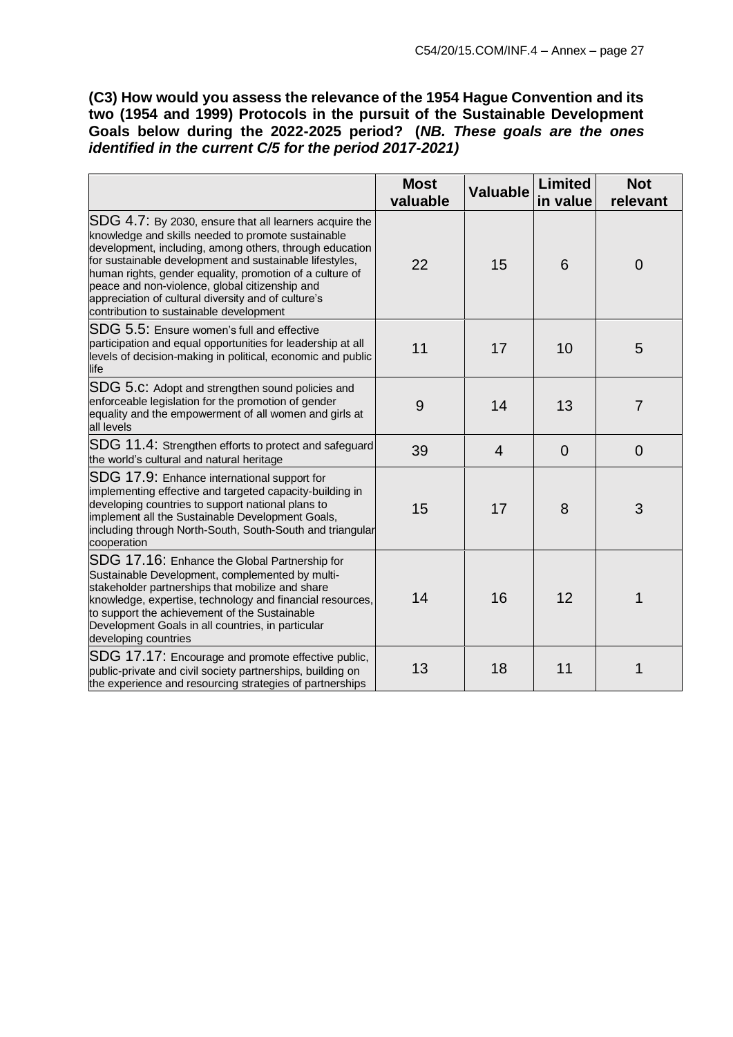**(C3) How would you assess the relevance of the 1954 Hague Convention and its two (1954 and 1999) Protocols in the pursuit of the Sustainable Development Goals below during the 2022-2025 period? (***NB. These goals are the ones identified in the current C/5 for the period 2017-2021)*

|                                                                                                                                                                                                                                                                                                                                                                                                                                                    | <b>Most</b><br>valuable | <b>Valuable</b> | <b>Limited</b><br>in value | <b>Not</b><br>relevant |
|----------------------------------------------------------------------------------------------------------------------------------------------------------------------------------------------------------------------------------------------------------------------------------------------------------------------------------------------------------------------------------------------------------------------------------------------------|-------------------------|-----------------|----------------------------|------------------------|
| SDG 4.7: By 2030, ensure that all learners acquire the<br>knowledge and skills needed to promote sustainable<br>development, including, among others, through education<br>for sustainable development and sustainable lifestyles,<br>human rights, gender equality, promotion of a culture of<br>peace and non-violence, global citizenship and<br>appreciation of cultural diversity and of culture's<br>contribution to sustainable development | 22                      | 15              | 6                          | $\overline{0}$         |
| SDG 5.5: Ensure women's full and effective<br>participation and equal opportunities for leadership at all<br>levels of decision-making in political, economic and public<br>life                                                                                                                                                                                                                                                                   | 11                      | 17              | 10                         | 5                      |
| SDG 5.c: Adopt and strengthen sound policies and<br>enforceable legislation for the promotion of gender<br>equality and the empowerment of all women and girls at<br>all levels                                                                                                                                                                                                                                                                    | 9                       | 14              | 13                         | $\overline{7}$         |
| SDG 11.4: Strengthen efforts to protect and safeguard<br>the world's cultural and natural heritage                                                                                                                                                                                                                                                                                                                                                 | 39                      | $\overline{4}$  | $\overline{0}$             | $\overline{0}$         |
| SDG 17.9: Enhance international support for<br>implementing effective and targeted capacity-building in<br>developing countries to support national plans to<br>implement all the Sustainable Development Goals,<br>including through North-South, South-South and triangular<br>cooperation                                                                                                                                                       | 15                      | 17              | 8                          | 3                      |
| SDG 17.16: Enhance the Global Partnership for<br>Sustainable Development, complemented by multi-<br>stakeholder partnerships that mobilize and share<br>knowledge, expertise, technology and financial resources,<br>to support the achievement of the Sustainable<br>Development Goals in all countries, in particular<br>developing countries                                                                                                    | 14                      | 16              | 12                         | 1                      |
| SDG 17.17: Encourage and promote effective public,<br>public-private and civil society partnerships, building on<br>the experience and resourcing strategies of partnerships                                                                                                                                                                                                                                                                       | 13                      | 18              | 11                         | 1                      |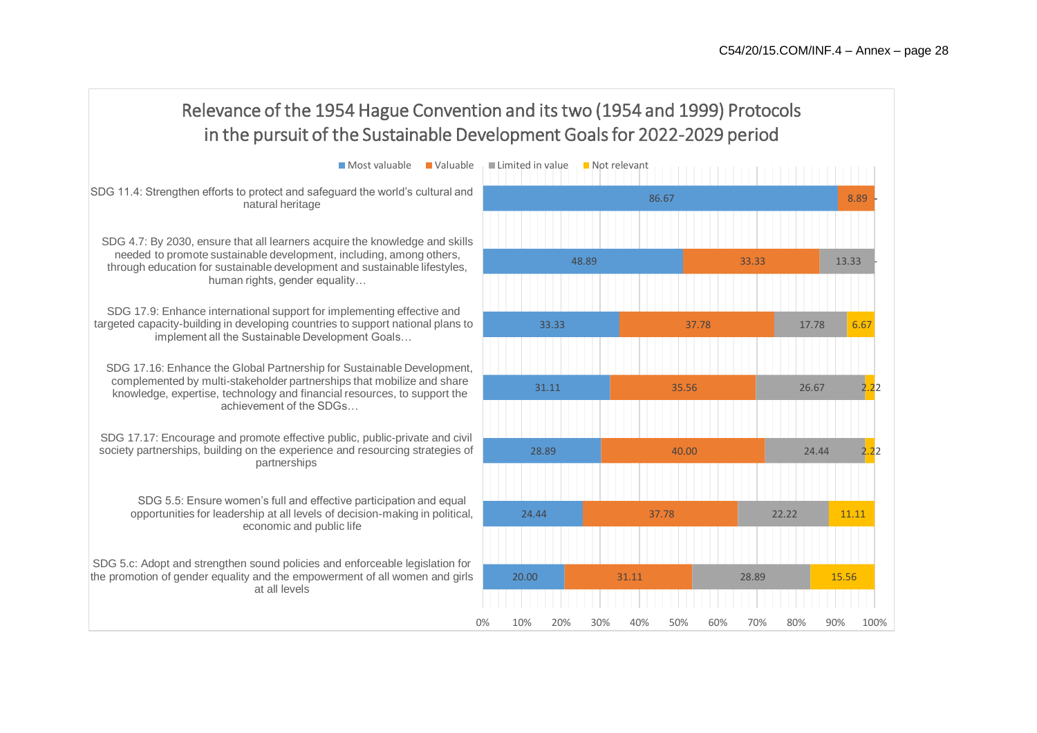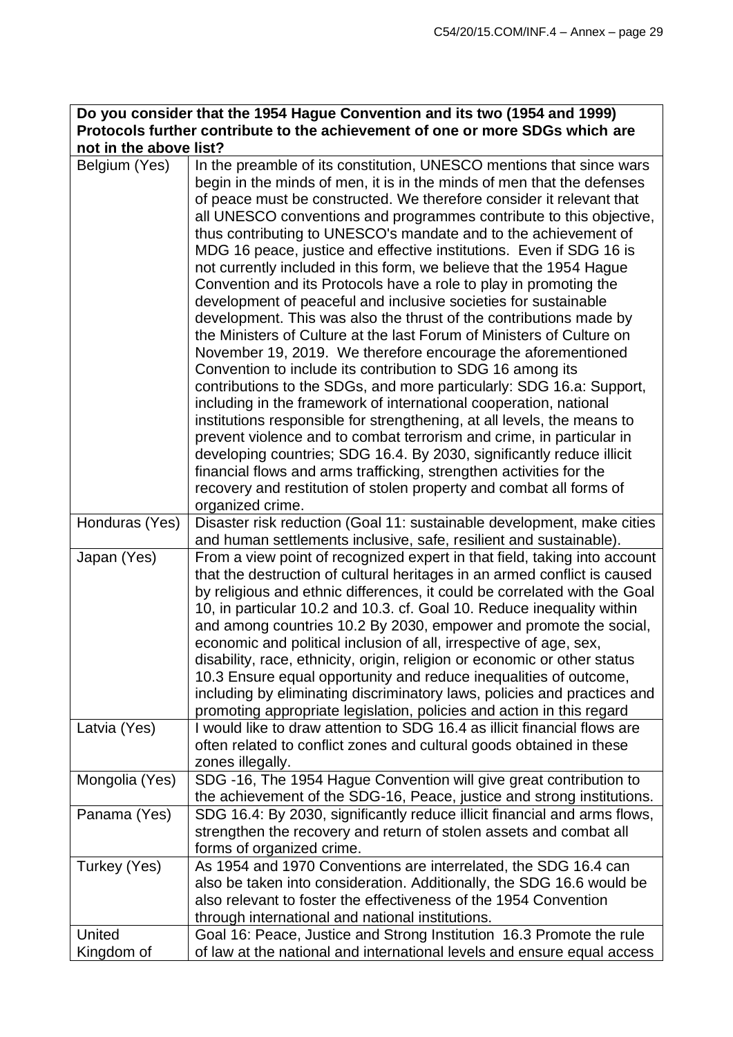| Do you consider that the 1954 Hague Convention and its two (1954 and 1999)    |
|-------------------------------------------------------------------------------|
| Protocols further contribute to the achievement of one or more SDGs which are |
| not in the above list?                                                        |

| Belgium (Yes)  | In the preamble of its constitution, UNESCO mentions that since wars<br>begin in the minds of men, it is in the minds of men that the defenses<br>of peace must be constructed. We therefore consider it relevant that<br>all UNESCO conventions and programmes contribute to this objective,<br>thus contributing to UNESCO's mandate and to the achievement of<br>MDG 16 peace, justice and effective institutions. Even if SDG 16 is<br>not currently included in this form, we believe that the 1954 Hague<br>Convention and its Protocols have a role to play in promoting the<br>development of peaceful and inclusive societies for sustainable<br>development. This was also the thrust of the contributions made by<br>the Ministers of Culture at the last Forum of Ministers of Culture on<br>November 19, 2019. We therefore encourage the aforementioned<br>Convention to include its contribution to SDG 16 among its<br>contributions to the SDGs, and more particularly: SDG 16.a: Support,<br>including in the framework of international cooperation, national<br>institutions responsible for strengthening, at all levels, the means to<br>prevent violence and to combat terrorism and crime, in particular in<br>developing countries; SDG 16.4. By 2030, significantly reduce illicit<br>financial flows and arms trafficking, strengthen activities for the<br>recovery and restitution of stolen property and combat all forms of<br>organized crime. |
|----------------|--------------------------------------------------------------------------------------------------------------------------------------------------------------------------------------------------------------------------------------------------------------------------------------------------------------------------------------------------------------------------------------------------------------------------------------------------------------------------------------------------------------------------------------------------------------------------------------------------------------------------------------------------------------------------------------------------------------------------------------------------------------------------------------------------------------------------------------------------------------------------------------------------------------------------------------------------------------------------------------------------------------------------------------------------------------------------------------------------------------------------------------------------------------------------------------------------------------------------------------------------------------------------------------------------------------------------------------------------------------------------------------------------------------------------------------------------------------------------------|
| Honduras (Yes) | Disaster risk reduction (Goal 11: sustainable development, make cities                                                                                                                                                                                                                                                                                                                                                                                                                                                                                                                                                                                                                                                                                                                                                                                                                                                                                                                                                                                                                                                                                                                                                                                                                                                                                                                                                                                                         |
|                | and human settlements inclusive, safe, resilient and sustainable).                                                                                                                                                                                                                                                                                                                                                                                                                                                                                                                                                                                                                                                                                                                                                                                                                                                                                                                                                                                                                                                                                                                                                                                                                                                                                                                                                                                                             |
| Japan (Yes)    | From a view point of recognized expert in that field, taking into account<br>that the destruction of cultural heritages in an armed conflict is caused<br>by religious and ethnic differences, it could be correlated with the Goal<br>10, in particular 10.2 and 10.3. cf. Goal 10. Reduce inequality within<br>and among countries 10.2 By 2030, empower and promote the social,<br>economic and political inclusion of all, irrespective of age, sex,<br>disability, race, ethnicity, origin, religion or economic or other status<br>10.3 Ensure equal opportunity and reduce inequalities of outcome,<br>including by eliminating discriminatory laws, policies and practices and<br>promoting appropriate legislation, policies and action in this regard                                                                                                                                                                                                                                                                                                                                                                                                                                                                                                                                                                                                                                                                                                                |
| Latvia (Yes)   | I would like to draw attention to SDG 16.4 as illicit financial flows are<br>often related to conflict zones and cultural goods obtained in these<br>zones illegally.                                                                                                                                                                                                                                                                                                                                                                                                                                                                                                                                                                                                                                                                                                                                                                                                                                                                                                                                                                                                                                                                                                                                                                                                                                                                                                          |
| Mongolia (Yes) | SDG -16, The 1954 Hague Convention will give great contribution to<br>the achievement of the SDG-16, Peace, justice and strong institutions.                                                                                                                                                                                                                                                                                                                                                                                                                                                                                                                                                                                                                                                                                                                                                                                                                                                                                                                                                                                                                                                                                                                                                                                                                                                                                                                                   |
| Panama (Yes)   | SDG 16.4: By 2030, significantly reduce illicit financial and arms flows,<br>strengthen the recovery and return of stolen assets and combat all<br>forms of organized crime.                                                                                                                                                                                                                                                                                                                                                                                                                                                                                                                                                                                                                                                                                                                                                                                                                                                                                                                                                                                                                                                                                                                                                                                                                                                                                                   |
| Turkey (Yes)   | As 1954 and 1970 Conventions are interrelated, the SDG 16.4 can<br>also be taken into consideration. Additionally, the SDG 16.6 would be<br>also relevant to foster the effectiveness of the 1954 Convention<br>through international and national institutions.                                                                                                                                                                                                                                                                                                                                                                                                                                                                                                                                                                                                                                                                                                                                                                                                                                                                                                                                                                                                                                                                                                                                                                                                               |
| United         | Goal 16: Peace, Justice and Strong Institution 16.3 Promote the rule                                                                                                                                                                                                                                                                                                                                                                                                                                                                                                                                                                                                                                                                                                                                                                                                                                                                                                                                                                                                                                                                                                                                                                                                                                                                                                                                                                                                           |
| Kingdom of     | of law at the national and international levels and ensure equal access                                                                                                                                                                                                                                                                                                                                                                                                                                                                                                                                                                                                                                                                                                                                                                                                                                                                                                                                                                                                                                                                                                                                                                                                                                                                                                                                                                                                        |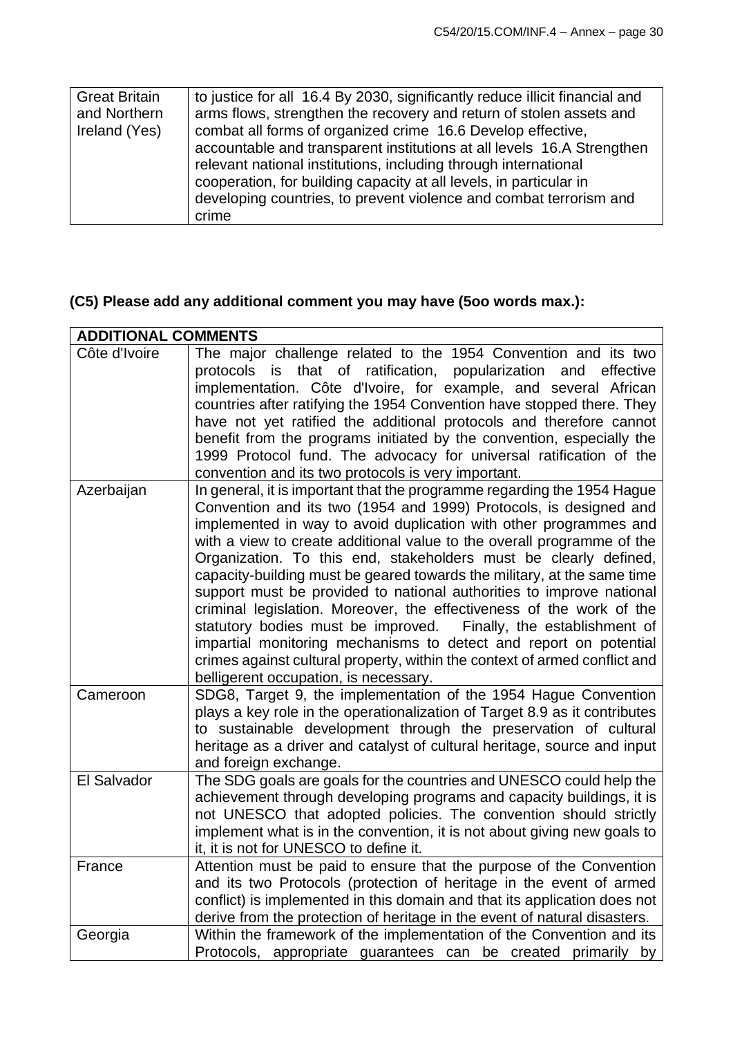| <b>Great Britain</b> | to justice for all 16.4 By 2030, significantly reduce illicit financial and |
|----------------------|-----------------------------------------------------------------------------|
| and Northern         | arms flows, strengthen the recovery and return of stolen assets and         |
| Ireland (Yes)        | combat all forms of organized crime 16.6 Develop effective,                 |
|                      | accountable and transparent institutions at all levels 16.A Strengthen      |
|                      | relevant national institutions, including through international             |
|                      | cooperation, for building capacity at all levels, in particular in          |
|                      | developing countries, to prevent violence and combat terrorism and          |
|                      | crime                                                                       |

# **(C5) Please add any additional comment you may have (5oo words max.):**

| <b>ADDITIONAL COMMENTS</b> |                                                                                                                                                                                                                                                                                                                                                                                                                                                                                                                                                                                                                                                                                                                                                                                                                                                            |
|----------------------------|------------------------------------------------------------------------------------------------------------------------------------------------------------------------------------------------------------------------------------------------------------------------------------------------------------------------------------------------------------------------------------------------------------------------------------------------------------------------------------------------------------------------------------------------------------------------------------------------------------------------------------------------------------------------------------------------------------------------------------------------------------------------------------------------------------------------------------------------------------|
| Côte d'Ivoire              | The major challenge related to the 1954 Convention and its two<br>protocols is that of ratification, popularization<br>effective<br>and<br>implementation. Côte d'Ivoire, for example, and several African<br>countries after ratifying the 1954 Convention have stopped there. They<br>have not yet ratified the additional protocols and therefore cannot<br>benefit from the programs initiated by the convention, especially the<br>1999 Protocol fund. The advocacy for universal ratification of the<br>convention and its two protocols is very important.                                                                                                                                                                                                                                                                                          |
| Azerbaijan                 | In general, it is important that the programme regarding the 1954 Hague<br>Convention and its two (1954 and 1999) Protocols, is designed and<br>implemented in way to avoid duplication with other programmes and<br>with a view to create additional value to the overall programme of the<br>Organization. To this end, stakeholders must be clearly defined,<br>capacity-building must be geared towards the military, at the same time<br>support must be provided to national authorities to improve national<br>criminal legislation. Moreover, the effectiveness of the work of the<br>statutory bodies must be improved. Finally, the establishment of<br>impartial monitoring mechanisms to detect and report on potential<br>crimes against cultural property, within the context of armed conflict and<br>belligerent occupation, is necessary. |
| Cameroon                   | SDG8, Target 9, the implementation of the 1954 Hague Convention<br>plays a key role in the operationalization of Target 8.9 as it contributes<br>to sustainable development through the preservation of cultural<br>heritage as a driver and catalyst of cultural heritage, source and input<br>and foreign exchange.                                                                                                                                                                                                                                                                                                                                                                                                                                                                                                                                      |
| El Salvador                | The SDG goals are goals for the countries and UNESCO could help the<br>achievement through developing programs and capacity buildings, it is<br>not UNESCO that adopted policies. The convention should strictly<br>implement what is in the convention, it is not about giving new goals to<br>it, it is not for UNESCO to define it.                                                                                                                                                                                                                                                                                                                                                                                                                                                                                                                     |
| France                     | Attention must be paid to ensure that the purpose of the Convention<br>and its two Protocols (protection of heritage in the event of armed<br>conflict) is implemented in this domain and that its application does not<br>derive from the protection of heritage in the event of natural disasters.                                                                                                                                                                                                                                                                                                                                                                                                                                                                                                                                                       |
| Georgia                    | Within the framework of the implementation of the Convention and its<br>Protocols, appropriate guarantees can be created primarily by                                                                                                                                                                                                                                                                                                                                                                                                                                                                                                                                                                                                                                                                                                                      |